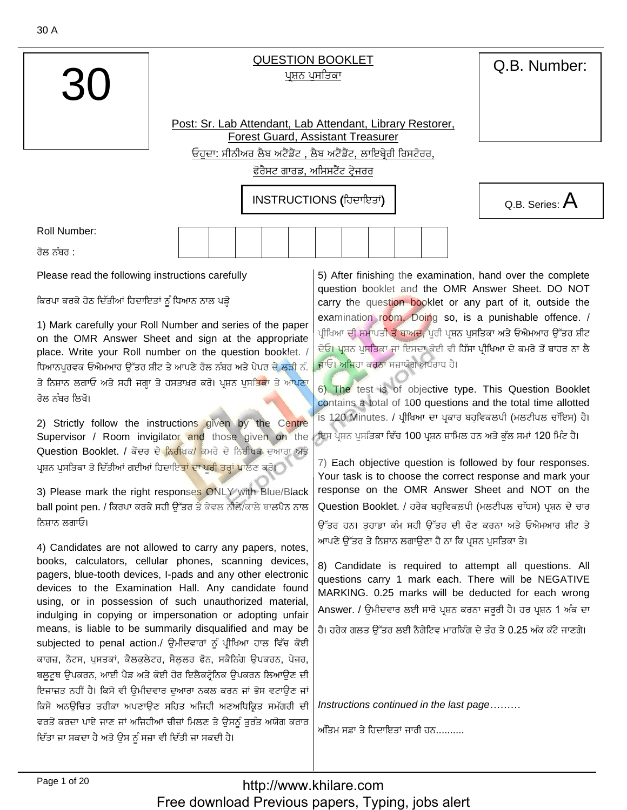**QUESTION BOOKLET** ਪਸ਼ਨ ਪਸਤਿਕਾ

Post: Sr. Lab Attendant, Lab Attendant, Library Restorer, **Forest Guard, Assistant Treasurer** ਓਹਦਾ: ਸੀਨੀਅਰ ਲੈਬ ਅਟੈਂਡੈਂਟ , ਲੈਬ ਅਟੈਂਡੈਂਟ, ਲਾਇਬ੍ਰੇਰੀ ਰਿਸਟੋਰਰ,

ਫੋਰੈਸਟ ਗਾਰਡ, ਅਸਿਸਟੈਂਟ ਟੇਜਰਰ

INSTRUCTIONS (ਹਿਦਾਇਤਾਂ)

**Roll Number:** 

ਰੋਲ ਨੰਬਰ <sup>-</sup>

Please read the following instructions carefully

ਕਿਰਪਾ ਕਰਕੇ ਹੇਠ ਦਿੱਤੀਆਂ ਹਿਦਾਇਤਾਂ ਨੂੰ ਧਿਆਨ ਨਾਲ ਪੜ੍ਹੋ

1) Mark carefully your Roll Number and series of the paper on the OMR Answer Sheet and sign at the appropriate place. Write your Roll number on the question booklet. / ਧਿਆਨਪਰਵਕ ਓਐਮਆਰ ਉੱਤਰ ਸ਼ੀਟ ਤੇ ਆਪਣੇ ਰੋਲ ਨੰਬਰ ਅਤੇ ਪੇਪਰ ਦੇ ਲੜੀ ਨੰ. ਤੇ ਨਿਸ਼ਾਨ ਲਗਾਓ ਅਤੇ ਸਹੀ ਜਗ੍ਹਾ ਤੇ ਹਸਤਾਖ਼ਰ ਕਰੋ। ਪ੍ਰਸ਼ਨ ਪੁਸ<mark>ਤਿਕਾ</mark> ਤੇ ਆਪਣਾ ਰੋਲ ਨੰਬਰ ਲਿਖੋ।

2) Strictly follow the instructions given by the Centre Supervisor / Room invigilator and those given on the Question Booklet. / ਕੇਂਦਰ ਦੇ <mark>ਨਿਰੀ</mark>ਖਕ/ ਕਮਰੇ ਦੇ ਨਿਰੀਖਕ ਦੁਆਰਾ ਅਤੇ ਪ੍ਰਸ਼ਨ ਪੁਸਤਿਕਾ ਤੇ ਦਿੱਤੀਆਂ ਗਈਆਂ ਹਿਦਾਇ<mark>ਤਾਂ ਦਾ ਪੂਰੀ ਤਰ੍ਹਾਂ ਪ</mark>ਾਲਣ ਕਰੋ।

3) Please mark the right responses ONLY with Blue/Black ball point pen. / ਕਿਰਪਾ ਕਰਕੇ ਸਹੀ ਉੱਤਰ ਤੇ ਕੇਵਲ ਨੀਲੈ/ਕਾਲੇ ਬਾਲਪੈਨ ਨਾਲ ਨਿਸਾਨ ਲਗਾਓ।

4) Candidates are not allowed to carry any papers, notes, books, calculators, cellular phones, scanning devices, pagers, blue-tooth devices, I-pads and any other electronic devices to the Examination Hall. Any candidate found using, or in possession of such unauthorized material, indulging in copying or impersonation or adopting unfair means, is liable to be summarily disqualified and may be subjected to penal action./ ਉਮੀਦਵਾਰਾਂ ਨੂੰ ਪੀਖਿਆ ਹਾਲ ਵਿੱਚ ਕੋਈ ਕਾਗਜ਼, ਨੋਟਸ, ਪੁਸਤਕਾਂ, ਕੈਲਕੁਲੇਟਰ, ਸੈਲੂਲਰ ਫੋਨ, ਸਕੈਨਿੰਗ ਉਪਕਰਨ, ਪੇਜਰ, ਬਲੁਟੁਥ ਉਪਕਰਨ, ਆਈ ਪੈਡ ਅਤੇ ਕੋਈ ਹੋਰ ਇਲੈਕਟ੍ਰੋਨਿਕ ਉਪਕਰਨ ਲਿਆਉਣ ਦੀ ਇਜਾਜ਼ਤ ਨਹੀਂ ਹੈ। ਕਿਸੇ ਵੀ ਉਮੀਦਵਾਰ ਦੁਆਰਾ ਨਕਲ ਕਰਨ ਜਾਂ ਭੇਸ ਵਟਾਉਣ ਜਾਂ ਕਿਸੇ ਅਨਊਚਿਤ ਤਰੀਕਾ ਅਪਣਾਉਣ ਸਹਿਤ ਅਜਿਹੀ ਅਣਅਧਿਕ੍ਰਿਤ ਸਮੱਗਰੀ ਦੀ ਵਰਤੋਂ ਕਰਦਾ ਪਾਏ ਜਾਣ ਜਾਂ ਅਜਿਹੀਆਂ ਚੀਜ਼ਾਂ ਮਿਲਣ ਤੇ ਉਸਨੂੰ ਤਰੰਤ ਅਯੋਗ ਕਰਾਰ ਦਿੱਤਾ ਜਾ ਸਕਦਾ ਹੈ ਅਤੇ ਉਸ ਨੂੰ ਸਜ਼ਾ ਵੀ ਦਿੱਤੀ ਜਾ ਸਕਦੀ ਹੈ।

5) After finishing the examination, hand over the complete question booklet and the OMR Answer Sheet. DO NOT carry the question booklet or any part of it, outside the examination room. Doing so, is a punishable offence. / ਪੀਖਿਆ ਦੀ ਸਮਾਪਤ<mark>ੀ ਤੋਂ ਬਾਅਦ,</mark> ਪਰੀ ਪ੍ਰਸ਼ਨ ਪਸਤਿਕਾ ਅਤੇ ਓਐਮਆਰ ਉੱਤਰ ਸ਼ੀਟ ਦੇਓ। ਪ੍ਰਸ਼ਨ ਪੁਸਤਿਕਾ ਜਾਂ ਇਸਦਾ ਕੋਈ ਵੀ ਹਿੱਸਾ ਪ੍ਰੀਖਿਆ ਦੇ ਕਮਰੇ ਤੋਂ ਬਾਹਰ ਨਾ ਲੈ ਜਾਓ। ਅਜਿਹਾ ਕਰਨਾ ਸਜ਼ਾਯੋਗ ਅਪਰਾਧ ਹੈ।

6) The test is of objective type. This Question Booklet contains a total of 100 questions and the total time allotted is 120 Minutes. / ਪੀਖਿਆ ਦਾ ਪਕਾਰ ਬਹਵਿਕਲਪੀ (ਮਲਟੀਪਲ ਚਾੱਇਸ) ਹੈ। ਇਸ ਪੁਸ਼ਨ ਪਸਤਿਕਾ ਵਿੱਚ 100 ਪੁਸ਼ਨ ਸ਼ਾਮਿਲ ਹਨ ਅਤੇ ਕੱਲ ਸਮਾਂ 120 ਮਿੰਟ ਹੈ।

7) Each objective question is followed by four responses. Your task is to choose the correct response and mark your response on the OMR Answer Sheet and NOT on the Question Booklet. / ਹਰੇਕ ਬਹੁਵਿਕਲਪੀ (ਮਲਟੀਪਲ ਚਾੱਧਸ) ਪ੍ਰਸ਼ਨ ਦੇ ਚਾਰ ਉੱਤਰ ਹਨ। ਤਹਾਡਾ ਕੰਮ ਸਹੀ ਉੱਤਰ ਦੀ ਚੋਣ ਕਰਨਾ ਅਤੇ ਓਐਮਆਰ ਸ਼ੀਟ ਤੇ ਆਪਣੇ ਉੱਤਰ ਤੇ ਨਿਸ਼ਾਨ ਲਗਾਉਣਾ ਹੈ ਨਾ ਕਿ ਪ੍ਰਸ਼ਨ ਪਸਤਿਕਾ ਤੇ।

8) Candidate is required to attempt all questions. All questions carry 1 mark each. There will be NEGATIVE MARKING. 0.25 marks will be deducted for each wrong Answer. / ੳਮੀਦਵਾਰ ਲਈ ਸਾਰੇ ਪ੍ਰਸ਼ਨ ਕਰਨਾ ਜਰਰੀ ਹੈ। ਹਰ ਪ੍ਰਸ਼ਨ 1 ਅੰਕ ਦਾ

ਹੈ। ਹਰੇਕ ਗਲਤ ਉੱਤਰ ਲਈ ਨੈਗੇਟਿਵ ਮਾਰਕਿੰਗ ਦੇ ਤੌਰ ਤੇ 0.25 ਅੰਕ ਕੱਟੇ ਜਾਣਗੇ।

Instructions continued in the last page.........

ਅੰਤਿਮ ਸਫ਼ਾ ਤੇ ਹਿਦਾਇਤਾਂ ਜਾਰੀ ਹਨ

Page 1 of 20

Q.B. Series:  $A$ 

Q.B. Number: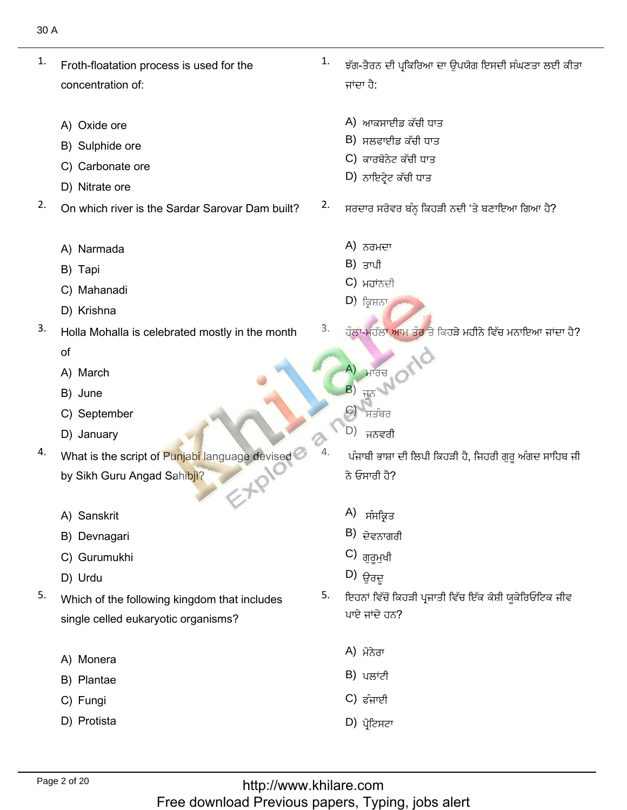- Froth-floatation process is used for the concentration of: 1. concentration of:
	- A) Oxide ore
	- A) Oxide ore<br>B) Sulphide ore
	- B) Sulphide ore<br>C) Carbonate ore<br>D) Nitrate ore
	-
- D) Nitrate ore<br>On which river is the Sardar Sarovar Dam built?  $2.$ 
	- A) Narmada<br>B) Tapi
	- B) Tapi
	- B) Tapi<br>C) Mahanadi<br>D) Krishna
	-
- D) Krishna<br>Holla Mohalla is celebrated mostly in the month 3. of
	- of<br>A) March<br>B) June
	- B) June
	- B) June<br>C) September<br>D) Januarv
	-
- D) January<br>What is the script of Punjabi language devised 4. by Sikh Guru Angad Sahibji?
	- A) Sanskrit
	- A) Sanskrit<br>B) Devnagari<br>C) Gurumukhi
- C) Gurumukh<br>D) Urdu D) فيتٖ 5.
	-
- D) Urdu<br>Which of the following kingdom that includes 5. single celled eukaryotic organisms?
	- A) Monera<br>B) Plantae
	- B) Plantae<br>C) Fungi
	- C) Fungi
	- D) Protista

 $\frac{1}{1}$ ਝੱਗ-ਤੈਰਨ ਦੀ ਪ੍ਰਕਿਰਿਆ ਦਾ ਉਪਯੋਗ ਇਸਦੀ ਸੰਘਣਤਾ ਲਈ ਕੀਤਾ ਜਾਂਦਾ ਹੈ:

ْيُّةٌ بِيَّةٌ بِيَّةٌ بِيَّةٌ بِيَّةٌ بِيَّةٌ بِيَّةٌ بِيِّ بِيَانِيَةٍ بِيِّ بِيِّ بِيِّ بِيِّ بِيِّ بِيِّ ب

- A) ਆਕਸਾਈਡ ਕੱਚੀ ਧਾਰ
- B) ਸਲਫਾਈਡ ਕੱਚੀ ਧਾਰ
- C) ਕਾਰਬੋਨੇਟ ਕੱਚੀ ਧਾਂ
- $D$ ) ਨਾਇਟ੍ਰੇਟ ਕੱਚੀ ਧਾਤ  $\mathcal{N}$  . The contract of the contract of the contract of the contract of the contract of the contract of the contract of the contract of the contract of the contract of the contract of the contract of the contract of th
- ਸਰਦਾਰ ਸਰੋਵਰ ਬੰਨ੍ਹ ਕਿਹੜੀ ਨਦੀ 'ਤੇ ਬਣਾਇਆ ਗਿਆ ਹੈ?  $\begin{array}{ccc}\n & \mathbb{A} \\
 & \mathbb{B} \\
 & \mathbb{C} \\
 & \mathbb{C} \\
 & \mathbb{D} \\
 & \mathbb{E} \\
 & \mathbb{E} \\
 & \mathbb{E} \\
 & \mathbb{E} \\
 & \mathbb{E} \\
 & \mathbb{E} \\
 & \mathbb{E} \\
 & \mathbb{E} \\
 & \mathbb{E} \\
 & \mathbb{E} \\
 & \mathbb{E} \\
 & \mathbb{E} \\
 & \mathbb{E} \\
 & \mathbb{E} \\
 & \mathbb{E} \\
 & \mathbb{E} \\
 & \mathbb{E} \\
 & \mathbb{E} \\
 & \mathbb{E} \\
 & \mathbb{E} \\
 & \mathbb{E} \\
 & \mathbb$ 
	- A) ਨਰਮਦਾ
	- B) ਤਾਪੀ
	- C) ਮਹਾਂਨਦੀ<br>D) ਕਿਸ਼ਨਾ
	-

صيْو

- Å) ਨਰਮਦਾ<br>
B) ਤਾਪੀ<br>
C) ਮਹਾਂਨਦੀ<br>
D) ਕ੍ਰਿਸ਼ਨਾ<br><sup>3.</sup> ਹੌਲਾ-ਮਹੱਲਾ ਆਮ ਤੌਰ ਤੇ ਕਿਹੜੇ ਮਹੀਨੇ ਵਿੱਚ ਮਨਾਇਆ ਜਾਂਦਾ ਹੈ?
	- $(A)$   $H$  $H$  $H$  $H$ A) ਮਾਰਚ<br>B) ਜੂਨ (N<br>C) ਸਤੰਬਰ
	- $\overline{H}$
	- ਸਤੰਬਰ
	- D) ਜਨਵਰੀ

 $\begin{CD} \textbf{A} \textbf{B} \textbf{B} \textbf{B} \textbf{C} \textbf{C} \textbf{A} \textbf{A} \textbf{B} \textbf{C} \textbf{A} \textbf{B} \textbf{C} \textbf{C} \textbf{A} \textbf{B} \textbf{C} \textbf{A} \textbf{B} \textbf{C} \textbf{A} \textbf{C} \textbf{A} \textbf{C} \textbf{A} \textbf{C} \textbf{A} \textbf{C} \textbf{A} \textbf{C} \textbf{A} \textbf{C} \textbf{A} \textbf{C} \textbf{A} \textbf{$ -ਪੰਜਾਬੀ ਭਾਸ਼ਾ <del>।</del><br>ਨੇ ਓਸਾਰੀ ਹੈ?

- $A$ ) ਸੰਸਕ੍ਰਿਤ
- $B$ ) ਦੇਵਨਾਗਰੀ
- C) ਗੁਰਮੁਖੀ
- 
- A) ਸੰਸਕ੍ਰਿਤ<br>B) ਦੇਵਨਾਗਰੀ<br>C) ਗੁਰੂਮੁਖੀ<br>D) ਉਰਦੂ<br>5. ਇਹਨਾਂ ਵਿੱਚੋਂ ਕਿਹੜੀ ਪਜਾਤੀ ਵਿੱਚ ਇੱਕ ਕੋਸ਼ੀ ਯਕੇਰਿਓ ਪਾਏ ਜਾਂਦੇ ਹਨ?
	- A) ਮੋਨੇਰਾ
	- B) ਪਲਾਂਟੀ
	- C) ਫੰਜਾਈ
	- $D)$  ਪੋਟਿਸਟਾ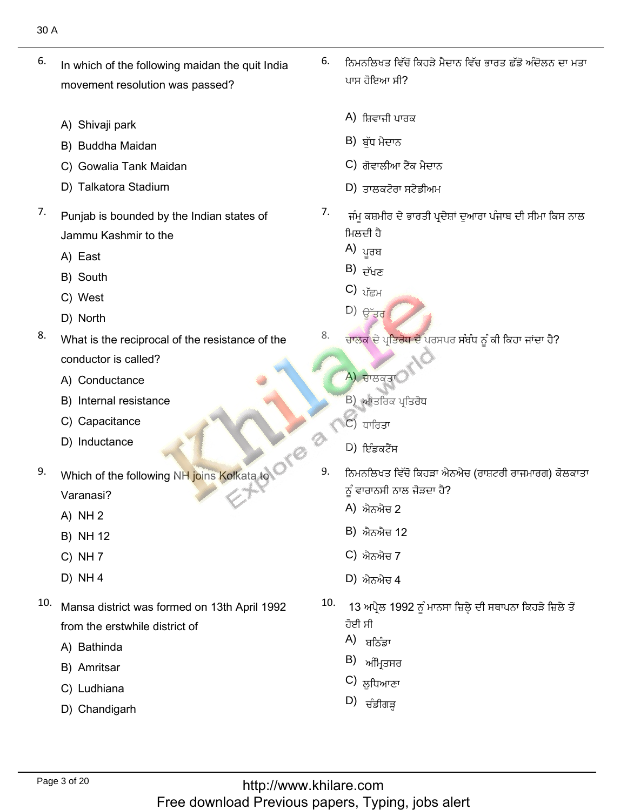- In which of the following maidan the quit India 6. movement resolution was passed?
	- A) Shivaji park
	- A) Shivaji park<br>B) Buddha Maidan
	- B) Buddha Maidan<br>C) Gowalia Tank Maidan<br>D) Talkatora Stadium
	-
- Py Tundibid Stadium<br>Punjab is bounded by the Indian states of 7. Jammu Kash<br>A) East
	- A) East
- A) East<br>B) South<br>C) West A) East A)  $\frac{1}{2}$ <br>B) South B) South B)  $\frac{1}{2}$ <br>C) West D)  $\frac{1}{2}$ 
	- C) West<br>D) North
	-
- D) North<br>What is the reciprocal of the resistance of the 8. conductor is called?<br>A) Conductance
	- A) Conductance
	- A) Conductance<br>B) Internal resistance<br>C) Capacitance
	- C) Capacitance<br>D) Inductance
	-
- Which of the following NH joins Kolkata to 9. Varanasi?<br>A) NH 2
	- $A)$  NH 2
	- A) NH 2<br>B) NH 12<br>C) NH 7
	-
	- C) NH 7<br>D) NH 4
- ر جبير.<br>Mansa district was formed on 13th April 1992 from the erstwhile<br>A) Bathinda
	- A) Bathinda<br>B) Amritsar
	- B) Amritsar<br>C) Ludhiana
	- C) Ludhiana
	- D) Chandigarh
- $\frac{1}{6.}$ ਨਿਮਨਲਿਖਤ ਵਿੱਚੋਂ ਕਿਹੜੇ ਮੈਦਾਨ ਵਿੱਚ ਭਾਰਤ ਛੱਡੋ ਅੰਦੋਲਨ ਦਾ ਮਤਾ
	- A) ਸ਼ਿਵਾਜੀ ਪਾਰ
	- B) ਬੁੱਧ ਮੈਦਾਨ
	- $\,$ C) ਗੋਵਾਲੀਆ ਟੈਂਕ ਮੈਦਾਨ
	- $D$ ) ਤਾਲਕਟੋਰਾ ਸਟੇਡੀਅਮ  $\mathcal{P}$ ) S'ORCO'HES!'NH
- P<br>
B<br>
C<br>
C<br>
C<br>
Z<br>
-ਜੰਮੂ ਕਸ਼ਮੀਰ ਦੇ ਭਾਰਤੀ ਪ੍ਰਦੇਸ਼ਾਂ ਦੁਆਰਾ ਪੰਜਾਬ ਦੀ ਸੀਮਾ ਕਿਸ ਨਾਲ ਮਿਲਦੀ ਹੈ<br>A) <sub>ਪਰਬ</sub>
	-
	- $B$ )  $\vec{p}_{\text{HZ}}$
	- C)  $v_{\overline{\text{E}}H}$
	- $\Box$ ) ਉੱਤਰ
- $\begin{array}{c}\n\mathsf{A} \\
\mathsf{B} \\
\mathsf{C}\n\end{array}$ 
	- A) ਚਾਲਕਤਾ

ْؿذًْص

- B) ਆਂਤਰਿਕ ਪ੍ਰ
- C) ਧਾਰਿਤਾ
- D) ਇੰਡਕਟੈਂਸ  $\sim$  ) is set that the control of the control of  $\sim$
- 9. ਨਿਮਨਲਿਖਤ ਵਿੱਚੋਂ ਕਿਹੜਾ ਐਨਐਚ (ਰਾਸ਼ਟਰੀ ਰਾਜਮਾਰਗ) ਕੋਲਕਾਤਾ ਾਰਾਨਸੀ ਨਾ
	- A) ਐਨਐਚ 2
	- B) ਐਨਐਚ 12
	- C) ਐਨਐਚ 7
	- $(D)$  ਐਨਐਚ 4  $\gamma$ ,  $\eta$ <sub>0</sub>, $\eta$ <del>u</del>
- " (B) ਐਨ<br>" С) ਐਨ<br>" D) ਐਨ<br>10. 13 ਅ ਹੋਈ ਸੀ
	- A) ਬਠਿੰਡਾ
	- $B$ ) ਅੰਮ੍ਰਿਤਸਰ
	- ਤੁਧਿਆਣ В) ਅੰਮ੍ਰਿਤਸਰ<br>С) ਲੁਧਿਆਣਾ<br>D) ਜੰਡੀਗੜ
	-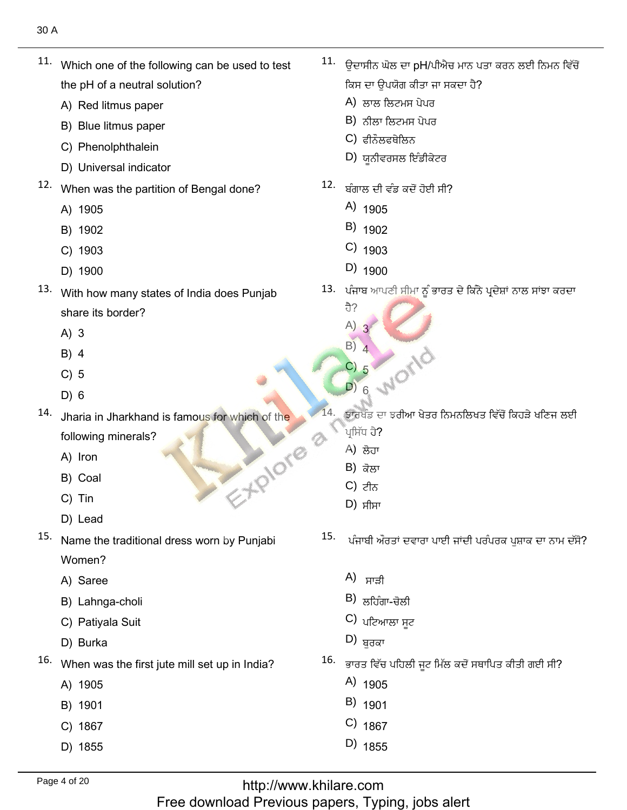11. Which one of the following can be used to test the pH of a neutral solution?

A) Red litmus paper

B) Blue litmus paper

- C) Phenolphthalein
- D) Universal indicator
- 12. When was the partition of Bengal done?
	- A) 1905
	- B) 1902
	- C) 1903
	- D) 1900
- 13. With how many states of India does Punjab share its border?
	- $A)$  3
	- $B)$  4
	- $C) 5$
	- $D) 6$
- $14.$ Jharia in Jharkhand is famous for which of the following minerals? EXPIONE
	- A) Iron
	- B) Coal
	- C) Tin
	- D) Lead
- 15. Name the traditional dress worn by Punjabi Women?
	- A) Saree
	- B) Lahnga-choli
	- C) Patiyala Suit
	- D) Burka
- 16. When was the first jute mill set up in India?
	- A) 1905
	- B) 1901
	- C) 1867
	- D) 1855
- <sup>11.</sup> ਉਦਾਸੀਨ ਘੋਲ ਦਾ pH/ਪੀਐਚ ਮਾਨ ਪਤਾ ਕਰਨ ਲਈ ਨਿਮਨ ਵਿੱਚੋਂ ਕਿਸ ਦਾ ਉਪਯੋਗ ਕੀਤਾ ਜਾ ਸਕਦਾ ਹੈ?
	- A) ਲਾਲ ਲਿਟਮਸ ਪੇਪਰ
	- $B$ ) ਨੀਲਾ ਲਿਟਮਸ ਪੇਪਰ
	- C) ਫੀਨੌਲਫਥੇਲਿਨ
	- D) ਯੂਨੀਵਰਸਲ ਇੰਡੀਕੇਟਰ
- 12. ਬੰਗਾਲ ਦੀ ਵੰਡ ਕਦੋਂ ਹੋਈ ਸੀ?
	- $A)$  1905
	- $B)$  1902
	- $C)$  1903
	- $D)$  1900
- 13. ਪੰਜਾਬ ਆਪਣੀ ਸੀਮਾ ਨੂੰ ਭਾਰਤ ਦੇ ਕਿੰਨੇ ਪ੍ਰਦੇਸ਼ਾਂ ਨਾਲ ਸਾਂਝਾ ਕਰਦਾ
	- ਹੈ?  $A)$ 3  $B)$   $\Lambda$ DI 6 WOME
- ਝਾਰਖੰਡ ਦਾ ਝਰੀਆ ਖੇਤਰ ਨਿਮਨਲਿਖਤ ਵਿੱਚੋਂ ਕਿਹੜੇ ਖਣਿਜ ਲਈ ਪਸਿੱਧ ਹੈ?
	- A) ਲੋਹਾ
	- B) ਕੋਲਾ
	- $C$ ) ਟੀਨ
	- $D)$  ਸੀਸਾ
- 15. ਪੰਜਾਬੀ ਔਰਤਾਂ ਦਵਾਰਾ ਪਾਈ ਜਾਂਦੀ ਪਰੰਪਰਕ ਪਸ਼ਾਕ ਦਾ ਨਾਮ ਦੱਸੋ?
	- $A)$  ਸਾੜੀ
	- $B)$  ਲਹਿੰਗਾ-ਚੋਲੀ
	- $C$ ) ਪਟਿਆਲਾ ਸਟ
	- D) <sub>ਬਰਕਾ</sub>
- <sup>16.</sup> ਭਾਰਤ ਵਿੱਚ ਪਹਿਲੀ ਜੂਟ ਮਿੱਲ ਕਦੋਂ ਸਥਾਪਿਤ ਕੀਤੀ ਗਈ ਸੀ?
	- A)  $1905$
	- $B)$  1901
	- $C)$  1867
	- D) 1855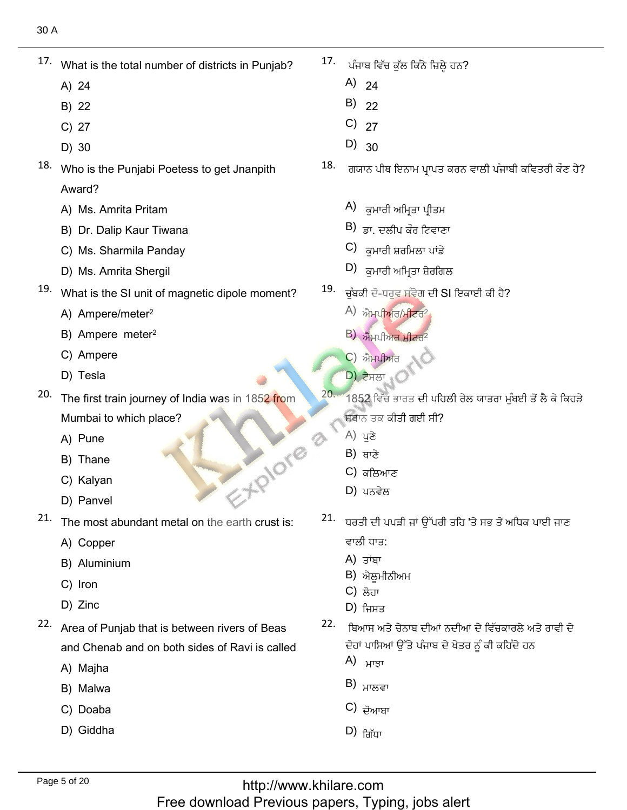- What is the total number of districts in Punjab?<br>A) 24
	- A) 24
	- A) 24<br>B) 22<br>C) 27
	- C) 27<br>D) 30
	-
- D) 30<br>Who is the Punjabi Poetess to get Jnanpith Award? Award?<br>A) Ms. Amrita Pritam
	-
	- A) Ms. Amrita Pritam<br>B) Dr. Dalip Kaur Tiwana<br>C) Ms. Sharmila Pandav
	- C) Ms. Sharmila Panday<br>D) Ms. Amrita Shergil
	-
- D) Ms. Amrita Shergil<br>What is the SI unit of magnetic dipole moment?<br>A) Ampere/meter<sup>2</sup>
	- A) Ampere/meter<sup>2</sup>
	- A) Ampere/meter<sup>2</sup><br>B) Ampere meter<sup>2</sup><br>C) Ampere
	- C) Ampere<br>D) Tesla
	-
- D) Tesla<br>The first train journey of India was in 185<mark>2 fr</mark>om Mumbai to wh<br>A) Pune
	- A) Pune
	- A) Pune<br>B) Thane B) Thane<br>C) Kalyan
	-
	- D) Panvel
- D) Panvel<br>The most abundant metal on the earth crust is:<br>A) Copper
	- A) Copper
	- A) Copper<br>B) Aluminium<br>C) Iron
	- C) Iron<br>D) Zinc
	-
- D) *Z*inc<br>Area of Punjab that is between rivers of Beas and Chenab ar<br>A) Maiha
	- A) Majha<br>B) Malwa
	- B) Malwa B) Malwa<br>C) Doaba
	-
	- D) Giddha

 $\frac{1}{17.1}$  $17.$  ਪੰਜਾਬ ਵਿੱਚ ਕੁੱਲ ਕਿੰਨੇ ਜ਼ਿਲ੍ਹੇ ਹਨ?<br>A)  $24$ 

?كِٗᴇًٗٓٞك٫ذ٬ًٓ ٕذصٍٓ٬نْط٫ل

- 
- $B)$  22
- C)  $27$
- $D)$  30  $\lbrack$
- A) 24<br>
B) 22<br>
C) 27<br>
D) 30<br>
18. ਗਯਾਨ ਪੀਥ ਇਨਾਮ
	- $(A)$  ਕਮਾਰੀ ਅਮਿਤਾ ਪੀਤਮ
	- <sub>ਝਾ.</sub> ਦਲੀਪ ਕੌਰ ਟਿਵਾਣ <sup>A)</sup> ਕੁਮਾਰੀ ਅਮ੍ਰਿਤਾ ਪ੍ਰੀਤਮ<br>B) ਡਾ. ਦਲੀਪ ਕੌਰ ਟਿਵਾਣਾ<br>C) ਕੁਮਾਰੀ ਸਰਮਿਲਾ ਪਾਂਡੇ
	- $C$ ) ਕਮਾਰੀ ਸ਼ਰਮਿਲਾ ਪਾਂਡੇ
	- D) ਕੁਮਾਰੀ ਅਮ੍ਰਿਤਾ ਸ਼ੇਰਗਿਲ
- <sup>19.</sup> ਚੁੰਬਕੀ ਦੋ-ਧਰੁਵ ਸੰਵੇਗ A)<br>
B)<br>
C)<br>
D)<br>
19. <del>- -</del>
	- A) ਐਮਪੀਅਰ/ਮੀਟਰ<sup>2</sup>
	- B) ਐਮਪੀਅਰ ਮ
	- C) ਐਮਪੀਅਰ
- $\mathsf{D}$ ) ਟੇਸਲਾ  $\mathsf{D}$ ੱ A)<br>B)<br>C)<br>D)<br>20. 49
- 1852 ਵਿੱਚ ਭਾਰਤ ਦੀ ਪਹਿਲੀ ਰੇਲ ਯਾਤਰਾ ਮੁੰਬਈ ਤੋਂ ਲੈ ਕੇ ਕਿਹੜੇ ਸਥਾਨ ਤਕ ਕੀਤੀ ਗਈ ਸੀ? ਐਮਪੀਅ<mark>ਰ ਮੀ</mark><br>ਐਮਪੀਅਰ<br>ਟੈਸਲਾ<br>2 ਵਿੱਚ ਭਾਰ<br>5 ਤਕ ਕੀਤੀ <sub>:</sub><br>ਪੁਣੇ<br>ਬਾਣੇ<br>ਕਲਿਆਣ<br>ਪਨਵੇਲ<br>ਪਨਵੇਲ<br><sup>1</sup> ਦੀ ਪਪੜੀ <sup>;</sup>
	- A) ਪਣੇ
	- B) ਥਾਣੇ
	- C) ਕਲਿਆਣ
	- $D$ ) ਪਨਵੇਲ
- $\frac{1}{21}$ . ਧਰਤੀ ਦੀ ਪਪੜੀ ਜਾਂ ਉੱਪਰੀ ਤਹਿ 'ਤੇ ਸਭ ਤੋਂ ਅਧਿਕ ਪਾਈ ਜਾਣ A)<br>
B)<br>
C)<br>
D)<br>
21. T ਵਾਲੀ ਧਾਤ: ਵਾ<sup>ਰ</sup><br>22.<br>22. <del>0.</del>
	- **A**) ਤਾਂਬਾ
	- <mark>B</mark>) ਐਲੂਮੀਨੀਅਮ<br>C) ਲੋਹਾ
	- C) ਲੋਹਾ
	- D) ਜਿਸਤ
- <sup>22.</sup> ਬਿਆਸ ਅਤੇ ਚੇਨਾਬ ਦੀਆਂ ਨਦੀਆਂ ਦੇ ਵਿੱਚਕਾਰਲੇ ਅਤੇ ਰਾਵੀ ਦੇ ਪਾਸਿਆਂ ੳ<del>ੱ</del>
	- A) ਮਾਤਾ
	-
	- $\overline{C}$ ) ਦੋਆਬਾ B) ਮਾਲਵਾ<br>C) ਦੋਆਬਾ<br>D) ਗਿੱਧਾ
	-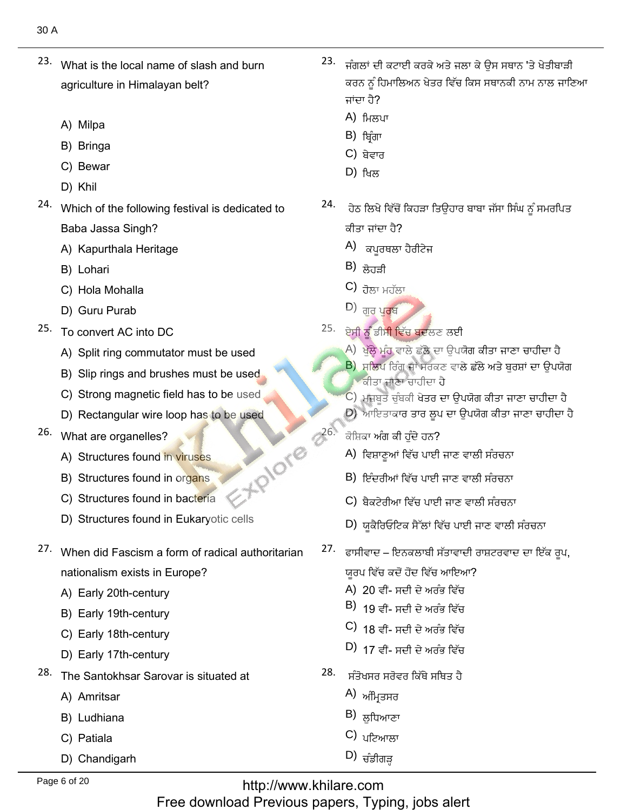- what is the local name of slash and burn<br>What is the local name of slash and burn agriculture in Himalayan belt?
	- A) Milpa
	- A) Milpa<br>B) Bringa<br>C) Bewar
	- C) Bewar<br>D) Khil
	-
- D) Khil<br>Which of the following festival is dedicated to Baba Jassa Singh? Baba Jassa Singh?<br>A) Kapurthala Heritage<br>B) Lohari
- A) Kapurthala Heritage (A) ਕਪੂਰਥਲਾ<br>
B) Lohari (B) ਲੋਹੜੀ<br>
C) Hola Mohalla (D) ਰਿਪਾਪ Purab (D) ਰਿਪਾਪ Purab
	- B) Lohari
	- B) Lohari<br>C) Hola Mohalla<br>D) Guru Purab
	-
- D) Guru Purab<br>To convert AC into DC
	- To convert AC into DC<br>A) Split ring commutator must be used<br>B) Slip rings and brushes must be used.
	- B) Slip rings and brushes must be used<br>C) Strong magnetic field has to be used
	- C) Strong magnetic field has to be used<br>D) Rectangular wire loop has to be used
	- D) Rectangular wire loop has to be used **101018 226.**
- 26. What are organelles?
	- What are organelles?<br>A) Structures found in viruses A) Structures found in <mark>viruses</mark><br>B) Structures found in org<mark>ans</mark>
	- B) Structures found in or<mark>ga</mark>ns<br>C) Structures found in bacteria
	-
	- D) Structures found in Eukaryotic cells
- when did Fascism a form of radical authoritarian<br>**When did Fascism a form of radical** authoritarian nationalism exists in E<br>A) Earlv 20th-centurv
	- A) Early 20th-century<br>B) Earlv 19th-centurv
	- B) Early 19th-century<br>C) Earlv 18th-centurv
	- C) Early 18th-century<br>D) Early 17th-century
	-
- D) Early 17th-century<br>The Santokhsar Sarovar is situated at<br>A) Amritsar
	- A) Amritsar<br>B) Ludhiana
	- B) Ludhiana<br>C) Patiala
	- C) Patiala
	- D) Chandigarh
- ْٟٔنٔؿٗرٗؿ'كْـُُتٗذًْطٗؿئٗذيذةْغذٔفإًْز٫طاؾْٓطًْكوْكٔذكْـُُذٓصٍٓ٬يؿٗركئًْٓوٖ٫ِٓك كيذ  $\frac{1}{23.1}$ ਕਰਨ ਨੂੰ ਹਿਮਾਲਿਅਨ ਖੇਤਰ ਵਿੱਚ ਕਿਸ ਸਥਾਨਕੀ ਨਾਮ ਨਾਲ ਜਾਣਿਆ  $\vec{H}$  एंसा तै $\gamma$ 
	- A) ਮਿਲਪਾ
	- B) ਬਿੰਗਾ
	- C) ਬੇਵਾਰ
	- (D
- A)<br>B)<br>C)<br>D)<br>24. → ਹੇਠ ਲਿਖੇ ਵਿੱਚੋਂ ਕਿਹੜਾ ਤਿੳਹਾਰ ਬਾਬਾ ਜੱਸਾ ਸਿੰਘ ਨੂੰ ਸਮਰਪਿਤ ਕੀਤਾ ਜਾਂਦਾ ਹੈ?
	- A) ਕਪਰਥਲਾ ਹੈਰੀਟੇਜ
	- $\vert$ B)  $\frac{1}{\mathcal{B}}$ ਹੜੀ
	- $\overline{C}$ )  $\overline{C}$
	-
- A) ਕਪੂਰਥਲਾ ਹੈਰੀਟੇਜ<br>B) ਲੋਹੜੀ<br>C) ਰੋਲਾ ਮਹੱਲਾ<br>D) ਗੁਰੂ ਪੂ**ਰ**ਬ<br>25. ਏਸੀ ਨੂੰ ਡੀਸੀ ਵਿੱਚ ਬਦਲਣ ਲਈ
	- ) ਖੱਲ੍ਹੇ ਮੰਹ ਵਾਲੇ ਛੱਲੇ ਦਾ ਉਪਯੋਗ ਕੀਤਾ ਜਾਣਾ ਚਾਹੀਦਾ ਹੈ
	- B) ਸਲਿਪ ਰਿੰਗ ਜਾਂ ਸਰਕਣ <sub>ੱ</sub><br>ਕੀਤਾ ਜਾਣਾ ਚਾਹੀਦਾ ਹੈ
	- .<br>C) ਮਜ਼ਬਤ ਚੰਬਕੀ ਖੇਤਰ ਦਾ ਉਪਯੋਗ ਕੀਤਾ ਜਾਣਾ ਚਾਹੀਦਾ ਹੈ
	- D) ਆਇਤਾਕਾਰ ਤਾਰ ਲੂਪ
	- ਕੋਸ਼ਿਕਾ ਅੰਗ ਕੀ ਹੁੰਦੇ ਹਨ?
		- A) ਵਿਸ਼ਾਣੂਆਂ ਵਿੱਚ ਪਾਈ ਜਾਣ ਵਾਲੀ ਸੰਰਚਨਾ
		- B) ਇੰਦਰੀਆਂ ਵਿੱਚ ਪਾਈ ਜਾਣ ਵਾਲੀ ਸੰਰਚਨਾ
		- C) ਬੈਕਟੇਰੀਆ ਵਿੱਚ ਪਾਈ ਜਾਣ ਵਾਲੀ ਸੰਰਚਨਾ
		- D) ਯਕੈਰਿਓਟਿਕ ਸੈੱਲਾਂ ਵਿੱਚ ਪਾਈ ਜਾਣ ਵਾਲੀ ਸੰਰਚਨਾ
- ??) ਵਿਸ਼ਾਵੂਆਂ ਵਿੱਚ ਪਾਈ ਜਾਣ ਵਾਲੀ ਸੰਹਚਨਾ<br>ੋਂ ਬਿੰਦਰੀਆਂ ਵਿੱਚ ਪਾਈ ਜਾਣ ਵਾਲੀ ਸੰਰਚਨਾ<br>C) ਬੈਕਟੇਰੀਆ ਵਿੱਚ ਪਾਈ ਜਾਣ ਵਾਲੀ ਸੰਰਚਨਾ<br>D) ਯੂਕੈਰਿਓਟਿਕ ਸੈੱਲਾਂ ਵਿੱਚ ਪਾਈ ਜਾਣ ਵਾਲੀ ਸੰਰਚਨਾ<br>27. ੰਫਾਸੀਵਾਦ ਇਨਕਲਾਬੀ ਸੱਤਾਵਾਦੀ ਰਾਸ਼ਟਰਵਾਦ ਦਾ ਇੱਕ ਰਪ, ਯਰਪ ਵਿੱਚ ਕਦੋਂ ਹੋਂਦ ਵਿੱਚ ਆਇਆ?
	- ਯੂਰਪ ਵਿੱਚ ਕਦੋਂ ਹੋਂਦ ਵਿੱਚ ਆਇ<mark>ਆ</mark><br>A) 20 ਵੀਂ- ਸਦੀ ਦੇ ਅਰੰਭ ਵਿੱਚ
	- B) 19 ਵੀਂ- ਸਦੀ ਦੇ ਅਰੰਭ ਵਿੱਚ
	- C) 18 ਵੀਂ- ਸਦੀ ਦੇ ਅਰੰਭ ਵਿੱਚ
	- $(D)$ ੀ 7 ਵੀਂ- ਸਦੀ ਦੇ ਅਰੰਭ ਵਿੱਚ
- (A) 20 ਵੀਂ- ਸਦੀ ਦੇ ਅਰੰਭ ਵਿੱਚ<br>
B) 19 ਵੀਂ- ਸਦੀ ਦੇ ਅਰੰਭ ਵਿੱਚ<br>
C) 18 ਵੀਂ- ਸਦੀ ਦੇ ਅਰੰਭ ਵਿੱਚ<br>
D) 17 ਵੀਂ- ਸਦੀ ਦੇ ਅਰੰਭ ਵਿੱਚ<br>
28. ਸੰਤੋਖਸਰ ਸਰੋਵਰ ਕਿੱਥੇ ਸਥਿਤ ਹੈ<br>
A) ਅੰਮ੍ਰਿਤਸਰ<br>
B) ਲੁਧਿਆਣਾ<br>
C) ਪਟਿਆਲਾ
	-
	-
	- C) ਪਟਿਆਲਾ
	-

http://www.khilare.com Free download Previous papers, Typing, jobs alert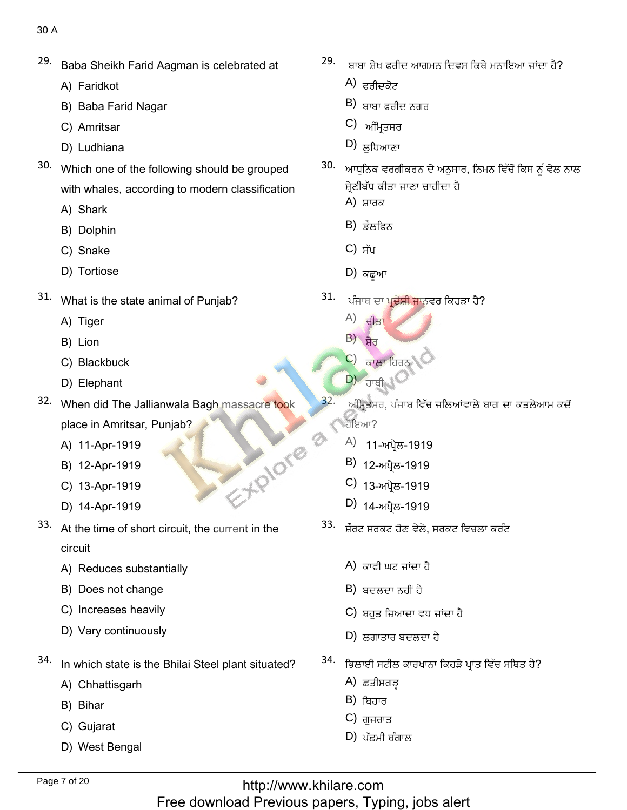- ————————————————————<br>Baba Sheikh Farid Aagman is celebrated at<br>A) Faridkot 29.
	- A) Faridkot
- A) Faridkot<br>B) Baba Farid Nagar<br>C) Amritsar A) Faridkot A) ਫ਼ਰੀਦਕੋਟ<br>
B) Baba Farid Nagar B) ਬਾਬਾ ਫ਼ਰੀਜ਼<br>
C) Amritsar C) ਮੁਪਰੀਸ਼ੇਸ਼ਮ (D) ਸ਼ਹਿਮਾਣਾ
	- C) Amritsar
	- D) Ludhiana
- D) Ludhiana<br>Which one of the following should be grouped with whales, aิ<br>A) Shark
	- A) Shark
	- A) Shark<br>B) Dolphin<br>C) Snake
	- C) Snake
	- D) Tortiose
- ບ<sub>ັ</sub>ກ ກວດເຮອອ<br>What is the state animal of Punjab?<br>A) Tiger
	- A) Tiger<br>B) Lion
	- B) Lion
	- B) Lion<br>C) Blackbuck<br>D) Elephant
	-
- D) Elephant<br>When did The Jallianwala Bagh massacre took place in Amritsar, Pui<br>A) 11-Apr-1919 EX. PIOTE
	- A) 11-Apr-1919<br>B) 12-Apr-1919
	- B) 12-Apr-1919<br>C) 13-Apr-1919
	- C) 13-Apr-1919
	- D) 14-Apr-1919
- D) 14-Apr-1919<br>At the time of short circuit, the current in the circuit
	- circuit<br>A) Reduces substantially<br>B) Does not change
	- B) Does not change
	- B) Does not change<br>C) Increases heavily
	- D) Vary continuously
- In which state is the Bhilai Steel plant situated?<br>A) Chhattisgarh 34.
	- A) Chhat<br>B) Bihar
	- B) Bihar
	- B) Bihar<br>C) Gujarat
	- West Bengal

ٍُفٓكوزافٔيمرَْٗنْن 29.

 $\mathcal{C}^{\mathcal{C}}_{\mathcal{A}}$ 

- 
- ੜਾਬਾ ਫਰੀ ਬਾਬਾ ਸ਼ੇਖ ਫਰੀਦ ਆਗਮ<br>A) ਫਰੀਦਕੋਟ<br>B) ਬਾਬਾ ਫਰੀਦ ਨਗਰ<br>C) ਅੰਮਿਤਸਰ
- 
- $D)$  ਲੁਧਿਆਣਾ
- A) ਫਰੀਦਕੋਟ<br>B) ਬਾਬਾ ਫਰੀਦ ਨਗਰ<br>C) ਅੰਮ੍ਰਿਤਸਰ<br>D) ਲੁਧਿਆਣਾ<br>30. ਆਧਨਿਕ ਵਰਗੀਕਰਨ ਦੇ ਅਨੁਸਾ ਬੱਧ ਕੀਤਾ
	- A) ਸ਼ਾਰਕ
	- B) ਡੌਲਫਿਨ
	- C) ਸੱਪ
	- D) ਕਛੂਆ
- 31. ਪੰਜਾਬ ਦਾ ਪ੍ਰਦੇਸ਼ੀ ਜਾਨਵਰ ਕਿਹੜਾ ਹੈ?
	- $(A)$  ਚੀਤਾ
	- $\overline{B}$ )  $\overline{B}$
	- C) ਕਾਲਾ ਹਿਰਨ
- المسلم السياسي المسلم المسلم المسلم المسلم المسلم المسلم المسلم المسلم المسلم المسلم المسلم المسلم المسلم المس<br>ويستمر المسلم المسلم المسلم المسلم المسلم المسلم المسلم المسلم المسلم المسلم المسلم المسلم المسلم المسلم المسل A)<br>B)<br>C)<br>32.
	- ਅੰਮ੍ਰਿਤਸਰ, ਪੰਜਾਬ ਵਿੱਚ ਜਲਿਆਂਵਾਲੇ ਬਾਗ ਦਾ ਕਤਲੇਆਮ ਕਦੋਂ
		- ਹੋਇਆ?<br>A) 11-ਅਪੈਲ-1919 <sup>A)</sup> 11-ਅਪ੍ਰੈਲ-1919<br>B) 12-ਅਪੈਲ-1919
		-
		- B) 12-ਅਪ੍ਰੈਲ-1919<br>C) <sub>13-ਅਪ੍ਰੈਲ-1919</sub>
		- $D)$  14-ਅਪ੍ਰੈਲ-1919
- A)<br>B)<br>C)<br>D)<br>33. <del>3</del>
	- A) ਕਾਫੀ ਘਟ ਜਾਂਦਾ
	- B) ਬਦਲਦਾ ਨਹੀਂ ਹੈ
	- C) ਬਹੁਤ ਜ਼ਿਆਦਾ ਵਧ ਜ
	- D) ਲਗਾਤਾਰ ਬਦਲਦਾ ਹੈ
- <sup>34.</sup> ਭਿਲਾਈ ਸਟੀਲ  $(B)$ <br>B)<br>C)<br>D)<br>34. fm
	- A) ਛਤੀਸਗੜ
	- B) ਬਿਹਾਰ
	- C) ਗਜਰਾਤ
	- $(D)$  ਪੱਛਮੀ ਬੰਗਾਲ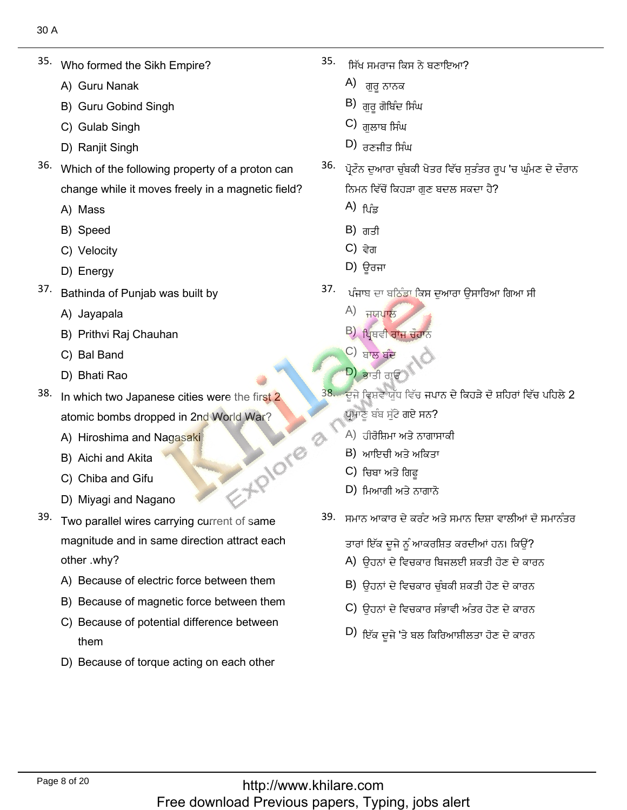- Who formed the Sikh Empire?<br>A) Guru Nanak
	- A) Guru Nanak
	- A) Guru Nanak<br>B) Guru Gobind Singh<br>C) Gulab Singh
	- C) Gulab Singh<br>D) Raniit Singh
	- D) Ranjit Singh
- A) Guru Nanak A) ਗੁਰੂ ਨਾਨਕ<br>
B) Guru Gobind Singh B) ਗੁਰੂ ਗੋਬਿੰਦ ਸਿੰਘ<br>
C) Gulab Singh C) Ranjit Singh D) Ranjit Singh D) Ranjit Singh D) ਗੁਲਾਬ ਸਿੰਘ<br>
36. Misch of the following argaments of a proton age,  $\frac{36}{25}$  ਹੋਇੰਡ,  $36.$  Which of the following property of a proton can change while i<br>A) Mass
	- A) Mass
	- A) Mass<br>B) Speed
	- B) Speed<br>C) Velocity<br>D) Enerav
	-
- D) Energy<br>Bathinda of Punjab was built by<br>A) Javapala
	- A) Jayapala
- A) Jayapala<br>B) Prithvi Raj Chauhan<br>C) Bal Band A) Jayapala<br>
B) Prithvi Raj Chauhan<br>
C) Bal Band<br>
D) Bhati Rao<br>
38. Ja which two Japaneses sitios were the first 2<br>
38. For a few of the C  $\overrightarrow{AB}$ <br>  $\overrightarrow{AB}$ <br>  $\overrightarrow{AB}$ <br>  $\overrightarrow{AB}$ <br>  $\overrightarrow{AB}$ <br>  $\overrightarrow{AB}$ <br>  $\overrightarrow{BC}$ <br>  $\overrightarrow{AB}$ <br>  $\$ 
	- C) Bal Band
	- C) Bal Band<br>D) Bhati Rao ann an India
- $38.$  In which two Japanese cities were the first 2 atomic bombs dropped in 2nd Wo<br>A) Hiroshima and Nagasaki
	- A) Hiroshima and Naga<br>B) Aichi and Akita
	- B) Aichi and Akita
	- B) Aichi and Akita<br>C) Chiba and Gifu
	- D) Miyagi and Nagano
- D) Miyagi and Nagano<br>Two parallel wires carrying current of same magnitude and in same direction attract each other .why?
	- other .why?<br>A) Because of electric force between them
	- A) Because of electric force between them<br>B) Because of magnetic force between them<br>C) Because of potential difference between
	- C) Because of potential difference between
	- them<br>Because of torque acting on each other

35. ذكْكٖيٕز

?ابْؾنٗكُذٓطْيوُرُٓ٬

- A) ਗੁਰੂ ਨਾਨਕ
- 
- 
- 
- ਨੋਮਨ ਵਿੱ レ) ਰਣਜੀਤ ਸਿੰਘ<br>ਪੋਟੌਨ ਦਆਰਾ ਚੰਬਕੀ ਖੇਤਰ ਵਿੱਚ ਸਤੰਤਰ ਰਪ 'ਚ ਘੰਮਣ ਦੇ ਦੌਰਾਨ A)<br>B)<br>C)<br>D)<br>36. 375.
	- A) <sub>ਪਿੰਡ</sub>
	- B) ਗਤੀ
	- C) ਵੇਗ
	- D) ਉਰਜਾ  $\lambda$ ) Å $\bar{a}$ q $\mu$ ,
- A)<br>B)<br>C)<br>D)<br>37. 37. 37. ਪੰਜਾਬ ਦਾ ਬਠਿੰਡਾ ਕਿਸ ਦੁਆਰਾ ਉਸਾਰਿਆ ਗਿਆ ਸੀ
	- A) ਜਯਪਾਲ
	-
	-
	- ًِٓٗلصٍٓ٬إْيَِٙٓفِٟٗذٗٓفكْلطصٍٓ٬قٕ٬ىٍٍَٗٓطٖف
- A)<br>B)<br>C)<br>D)<br>38. .<br>ਦੂਜੇ ਵਿਸ਼ਵ ਯੱਧ ਵਿੱਚ ਜਪਾਨ ਦੇ ਕਿਹੜੇ ਦੋ ਸ਼ਹਿਰਾਂ ਵਿੱਚ ਪਹਿਲੇ 2 ਣੂੰ ਬੰਬ ਸੁੱਟੇ ਗਏ ਸਨ?
	- A) ਹੀਰੋਸ਼ਿਮਾ ਅਤੇ ਨਾਗਾਸ
	- B) ਆਇਚੀ ਅਤੇ ਅ
	- C) ਚਿਬਾ ਅਤੇ ਗਿਫ
	- $D$ ) ਮਿਆਗੀ ਅਤੇ ਨਾਗਾਨੋ **P)** באי וועימים כדי איינו
- A)<br>B)<br>C)<br>D)<br>39. Fu 39. ਸਮਾਨ ਆਕਾਰ ਦੇ ਕਰੰਟ ਅਤੇ ਸਮਾਨ ਦਿਸ਼ਾ ਵਾਲੀਆਂ ਦੋ ਸਮਾਨੰਤਰ

ਂ ਇੱਕ ਦਜੇ ਨੂੰ ਆਕਰਸ਼ਿਤ ਕਰਦੀਆਂ ਹਨ। ਕਿਉਂ?

- A) ਉਹਨਾਂ ਦੇ ਵਿਚਕਾਰ ਬਿਜਲਈ ਸ਼ਕਤੀ ਹੋਣ ਦੇ ਕਾਰ
- B) ਉਹਨਾਂ ਦੇ ਵਿਚਕਾਰ ਚੁੰਬਕੀ ਸ਼ਕਤੀ ਹੋਣ ਦੇ ਕਾਰਨ
- C) ਉਹਨਾਂ ਦੇ ਵਿਚਕਾਰ ਸੰਭਾਵੀ ਅੰਤਰ ਹੋਣ ਦੇ ਕਾਰਨ
- كي ਚੁਹਨਾ ਦ ਵਿਚਕਾਰ ਸਭਾਵ। ਅਤਰ ਹੋਣ ਦੇ ਕਾਰਨ<br>D) *ਬਿੱਕ ਦੇ*ਜ਼ੇ 'ਤੇ ਬਲ ਕਿਰਿਆਸੀਲਤਾ ਹੋਣ ਦੇ ਕਾਰਨ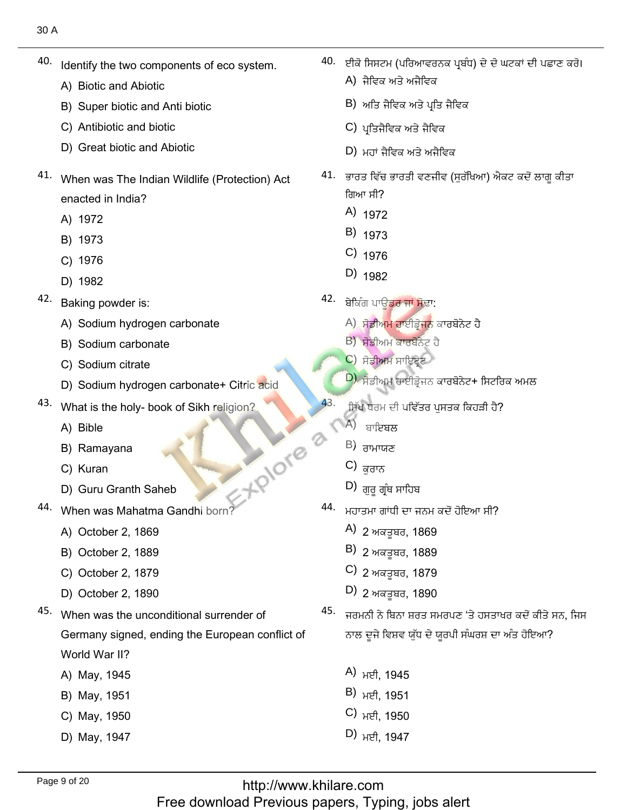- Identify the two components of eco system. 40.
	- Identify the two comp<br>A) Biotic and Abiotic
	- A) Biotic and Abiotic<br>B) Super biotic and Anti biotic<br>C) Antibiotic and biotic
	- C) Antibiotic and biotic
	- D) Great biotic and Abiotic
- $\frac{a}{b}$  When was The Indian Wildlife (Protection) Act enacted in India? enacted in Inc<br>A) 1972<br>B) 1973
	-
	- B) 1973<br>C) 1976
	- C) 1976
	- D) 1982
- D) 1982<br>Baking powder is:
	- Baking powder is:<br>A) Sodium hydrogen carbonate<br>B) Sodium carbonate
	- B) Sodium carbonate<br>C) Sodium citrate
	- C) Sodium citrate
	- Sodium citrate<br>Sodium hydrogen carbonate+ Citric acid D) Sodium hydrogen carbonate+ Citric\*<br>What is the holy- book of Sikh religion?
- What is the ho<br>A) Bible
	- A) Bible
	- A) Bible<br>B) Ramayana<br>C) Kuran
	- C) Kuran
	- C) Kuran<br>D) Guru Granth Saheb **2008**
- When was Mahatma Gar<br>A) October 2, 1869
	- A) October 2, 1869
	- A) October 2, 1869<br>B) October 2, 1889<br>C) October 2, 1879
	- C) October 2, 1879<br>D) October 2. 1890
	-
- D) October 2, 1890<br>When was the unconditional surrender of Germany signed, ending the European conflict of World War II? World War II?<br>A) May, 1945<br>B) Mav. 1951
	-
	- B) May, 1951<br>C) Mav. 1950
	- C) May, 1950<br>D) Mav. 1947
	-

 $\frac{1}{40.}$ 40. ਈਕੋ ਸਿਸਟਮ (ਪਰਿਆਵਰਨਕ ਪਬੰਧ) ਦੇ ਦੋ ਘਟਕਾਂ ਦੀ ਪਛਾਣ ਕਰੋ। A) ਜੈਵਿਕ ਅਤੇ ਅਜੈਵਿਕ

َيْضُ فِي الْفَرْقُ بِينَ مِنْ الْفَرْقُ بِينَ مِنْ الْفَرْقُ بِينَ الْفَرْقُ الْفَرْقُ بِينَ الْفَرْقُ الْفَر

- B) ਅਤਿ ਜੈਵਿਕ ਅਤੇ ਪ੍ਰਤਿ
- C) ਪ੍ਰਤਿਜੈਵਿਕ ਅਤੇ ਜੈਵਿਕ
- D) ਮਹਾਂ ਜੈਵਿਕ ਅਤੇ ਅਜੈਵਿਕ
- ,,<br>
B)<br>
C)<br>
D)<br>
41. ਕਾਰ 41. ਭਾਰਤ ਵਿੱਚ ਭਾਰਤੀ ਵਣਜੀਵ (ਸੁਰੱਖਿਆ) ਐਕਟ ਕਦੋਂ ਲਾਗੂ ਕੀਤਾ ਗਿਆ ਸੀ?<br>A) <sub>1972</sub> ਜੈਵਿਕ ਅਤੇ ਅਜੈਵਿਕ<br>ਅਤਿ ਜੈਵਿਕ ਅਤੇ ਪ੍ਰਤਿ ਜੈਵਿਕ<br>ਪ੍ਰਤਿਜੈਵਿਕ ਅਤੇ ਜੈਵਿਕ<br>ਮਹਾਂ ਜੈਵਿਕ ਅਤੇ ਅਜੈਵਿਕ<br>ਤ ਵਿੱਚ ਭਾਰਤੀ ਵਣਜੀਵ (ਸੁਰੱਖਿਅ<br>ਾ ਸੀ?<br>1972<br>1973<br>1976 ੁੱਖ ਜਾਂਦੇ ਜਾਂਦੇ ਜਾਂਦਾ ਜਾਂਦਾ ਜਾਂਦਾ ਜਾਂਦਾ ਜਾਂਦਾ ਜਾਂਦਾ ਜਾਂਦਾ ਜਾਂਦਾ ਜਾਂਦਾ ਜਾਂਦਾ ਜਾਂਦਾ ਜਾਂਦਾ ਜਾਂਦਾ ਜਾਂਦਾ ਜਾਂਦਾ ਜਾਂਦ<br>ਤੋਂ ਵਿੱਚ ਭਾਰਤੀ ਵਣਜੀਵ (ਸੁਰੱਖਿਆ) ਐਕਟ ਕਦੋਂ ਹ<br>1972<br>1973<br>ਗੁੰ ਪਾਊਡਰ ਜਾਂ ਸੋਢਾ:<br>ਸੋਡੀਅਮ ਕਾਰਬੋਨੇਟ ਹੈ<br>ਸੋਡੀਅਮ ਕਾਰਬੋਨੇਟ ਹੈ<br>
	-
	- B) <sup>1973</sup>
	- $C)$  1976
	- <sup>С)</sup> 1976<br>D) <sub>1982</sub>  $\sim$  1902
- 42. ਬੇਕਿੰਗ ਪਾਊ<mark>ਡਰ ਜਾਂ ਸੋ</mark>ਢਾ:
	- A) ਸੋਡੀਅਮ ਹਾਈਡੋਜਨ ਕ
	- B) ਸੋਡੀਅਮ ਕਾਰਬੋਨੇ
	- C) ਸੋਡੀਅਮ ਸਾਇਟ੍ਰੇਟ
- <mark>D) ਸੋਡੀਅਮ ਹਾਈਡ੍ਰੋਜਨ ਕਾਰਬੋਨੇਟ+ ਸਿਟਰ</mark>ਿ A)<br>B)<br>C)<br>D)<br>43. a3
	- ਸਿੱਖ ਧਰਮ ਦੀ ਪਵਿੱਤਰ ਪਸਤਕ ਕਿਹੜੀ ਹੈ?
		- $(A)$  ਬਾਇਬਲ
		-
		-
		- $D$ ) ਗੁਰੂ ਗ੍ਰੰਥ ਸਾਹਿਬ
- 44. Hence (C E 2) divided by the C of the C of the C  $\frac{1}{2}$  and C  $\frac{1}{2}$  and  $\frac{1}{2}$  (B  $\frac{1}{2}$  C  $\frac{1}{2}$  and  $\frac{1}{2}$  C  $\frac{1}{2}$  and  $\frac{1}{2}$  and  $\frac{1}{2}$  and  $\frac{1}{2}$  and  $\frac{1}{2}$  and  $\frac{1}{2}$  and  $\frac{$  $\begin{pmatrix} 4 \\ B \end{pmatrix}$ <br>B)<br>C)<br>44. ਮਹਾਤਮਾ ਗਾਂਧੀ ਦਾ ਜਨਮ ਕਦੋਂ ਹੋਇਆ ਸੀ?
	- A) 2 ਅਕਤੂਬਰ, 1869
	- B) 2 ਅਕਤੂਬਰ, 1889
	- C) <sub>2 ਅਕਤੂਬਰ, 1879</sub>
	- D) 2 ਅਕਤੂਬਰ, 1890
	- A)<br>B)<br>C)<br>D)<br>45. 45. ਜਰਮਨੀ ਨੇ ਬਿਨਾ ਸ਼ਰਤ ਸਮਰਪਣ 'ਤੇ ਹਸਤਾਖਰ ਕਦੋਂ ਕੀਤੇ ਸਨ, ਜਿਸ ਨਾਲ ਦੂਜੇ ਵਿਸ਼ਵ ਯੁੱਧ ਦੇ ਯੂਰਪੀ ਸੰਘਰਸ਼ ਦਾ ਅੰਤ ਹੋਇਆ?
		- A) ਮਈ, 1945
		- B) ਮਈ, 1951
		- C) ਮਈ, 1950
		- D)  $H\rightarrow H$ , 1947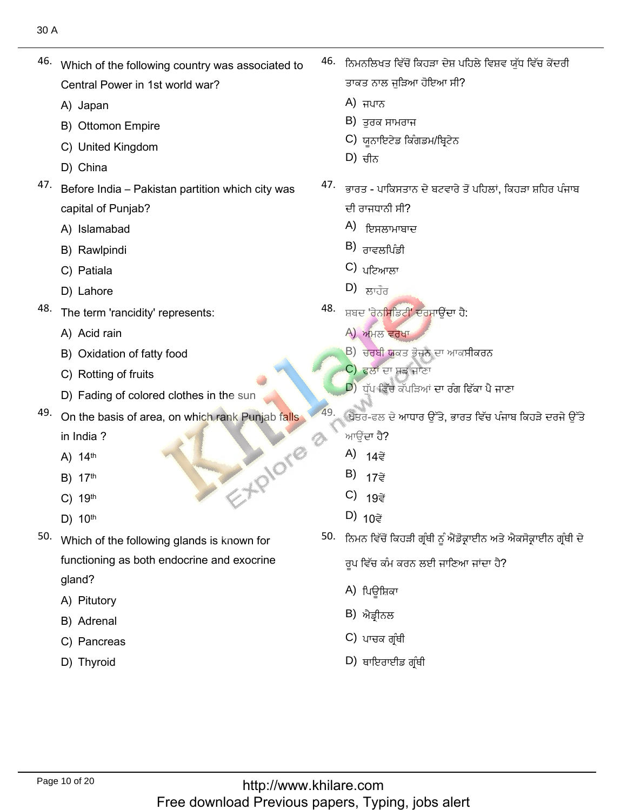A) Japan<br>B) Ottomon Empire<br>C) United Kingdom

Central Power<br>A) Japan A) Japan

- C) United King<br>D) China
- 
- D) China<br>Before India Pakistan partition which city was 47. capital of Punjab?<br>A) Islamabad

which of the following country was associated to<br>Central Aostroid Which of the following country was associated to

- A) Islamabad<br>B) Rawlpindi
- B) Rawlpindi<br>C) Patiala
- C) Patiala
- D) Lahore
- D) Lahore<br>The term 'rancidity' represents:<br>A) Acid rain
	- A) Acid rain
	- A) Acid rain<br>B) Oxidation of fatty food<br>C) Rotting of fruits
	- C) Rotting of fruits
	- D) Fading of colored clothes in the sun
- D) Fading of colored clothes in the sun<br>On the basis of area, on which rank Punjab falls D)  $10^{\text{th}}$ <br>D)  $10^{\text{th}}$ 
	- in India ?<br>A) 14<sup>th</sup> A)  $14<sup>th</sup>$
	- A) 14<sup>th</sup><br>B) 17<sup>th</sup>
	- B) 17<sup>th</sup><br>C) 19<sup>th</sup> 19<sup>th</sup><br>10<sup>th</sup>
	-
- D) 10<sup>th</sup><br>Which of the following glands is known for functioning as both endocrine and exocrine gland? gland?<br>A) Pitutory<br>B) Adrenal
	-
	- B) Adrenal
	- B) Adrenal<br>C) Pancreas<br>D) Thvroid
	-

 $\frac{1}{46.}$ 46. ਨਿਮਨਲਿਖਤ ਵਿੱਚੋਂ ਕਿਹੜਾ ਦੇਸ਼ ਪਹਿਲੇ ਵਿਸ਼ਵ ਯੱਧ ਵਿੱਚ ਕੇਂਦਰੀ ਤ ਨਾਲ ਜੁ

ُورُو ٱلْأَرْضِ ٱلْأَرْضِ ٱلْأَرْضِ ٱلْأَرْضِ ٱلْأَرْضِ ٱلْأَرْضِ ٱلْأَرْضِ ٱلْأَرْضِ ٱلْأَرْضِ ٱلْأَرْضِ ٱلْأَ

- A) ਜਪਾਨ
- B) ਤਰਕ ਸਾਮਰਾਜ
- C) ਯੂਨਾਇਟੇਡ ਕਿੰ
- $D$ ) ਚੀਨ
- A) ਜਪਾਨ<br>B) ਤੁਰਕ ਸਾਮਰਾਜ<br>C) ਯੂਨਾਇਟੇਡ ਕਿੰਗਡਮ/ਬ੍ਰਿਟੇਨ<br>D) ਚੀਨ<br><sup>47.</sup> ਭਾਰਤ ਪਾਕਿਸਤਾਨ ਦੇ ਬਟਵਾਰੇ ਤੋਂ ਪਹਿਲਾਂ. ਕਿਹੜਾ ਸ਼ਹਿਰ ਪੰਜਾਬ ਭਾਰਤ - ਪਾਕਿਸਤਾਰ<br>ਦੀ ਰਾਜਧਾਨੀ ਸੀ? ਦੀ ਰਾਜਧਾਨੀ ਸੀ?
	- A) <sub>ਇਸਲਾਮਾਬਾਦ</sub>
	- B) ਰਾਵਲਪਿੰਡੀ<br>C) ਪਟਿਆਲਾ<br>D) ਲਾਹੌਰ
	- $\mathsf{C}$ ) ਪਟਿਆਲਾ
	-
- リ) ੂਲਾਹੌਰ<br>ਸ਼ਬਦ 'ਰੇਨ<mark>ਸਿਡਿਟੀ' ਦਰਸਾਉਂਦਾ ਹੈ:</mark> A)<br>B)<br>C)<br>D)<br>48.
	- $(A)$  ਅਮਲ ਵਰੇਖਾ
	- B) <mark>ਚਰਬੀ ਯ</mark>ਕਤ ਭੋਜਨ
	- $\left( {\mathsf c} \right)$ ਂ ਫਲਾਂ ਦਾ ਸੜ ਜਾਣਾ
	- $\ket{\mathsf{D}}$ ਾਧੁੱਪ ਵਿੱਚ ਕੱਪੜਿਆਂ ਦਾ ਰੰਗ ਫਿੱਕਾ ਪੈ ਜਾਣਾ
- A)<br>
B)<br>
C)<br>
D)<br>
49. ਖੇਤਰ-ਫਲ ਦੇ ਆਧਾਰ ਉੱਤੇ, ਭਾਰਤ ਵਿੱਚ ਪੰਜਾਬ ਕਿਹੜੇ ਦਰਜੇ ਉੱਤੇ
	- ਆਉਂਦਾ ਹੈ?<br>A) 14ਵੇਂ
	- B)  $17\vec{e}$
	- C)  $19\vec{z}$
	- ٗفٔـ٫ᴆزكةْᴡُٙذحٗؿئكةْᴡٙؼᶶٖ٫كٔـ٫ᴆزِٟٔذٓᶦصٍٓ٬كوكٓ
- A)<br>B)<br>C)<br>D)<br>50. <del>A</del> 50. ਨਿਮਨ ਵਿੱਚੋਂ ਕਿਹੜੀ ਗ੍ਰੰਥੀ ਨੂੰ ਐਂਡੋਕ੍ਰਾਈਨ ਅਤੇ ਐਕਸੋਕ੍ਰਾਈਨ ਗ੍ਰੰਥੀ ਦੇ

 $\overline{z}$  over

- A) ਪਿਊਸ਼ਿਕਾ
- B) ਐਡ੍ਰੀਨਲ
- C) ਪਾਚਕ ਗ੍ਰੰਥੀ
- D) ਥਾਇਰਾਈਡ ਗ੍ਰੰਥੀ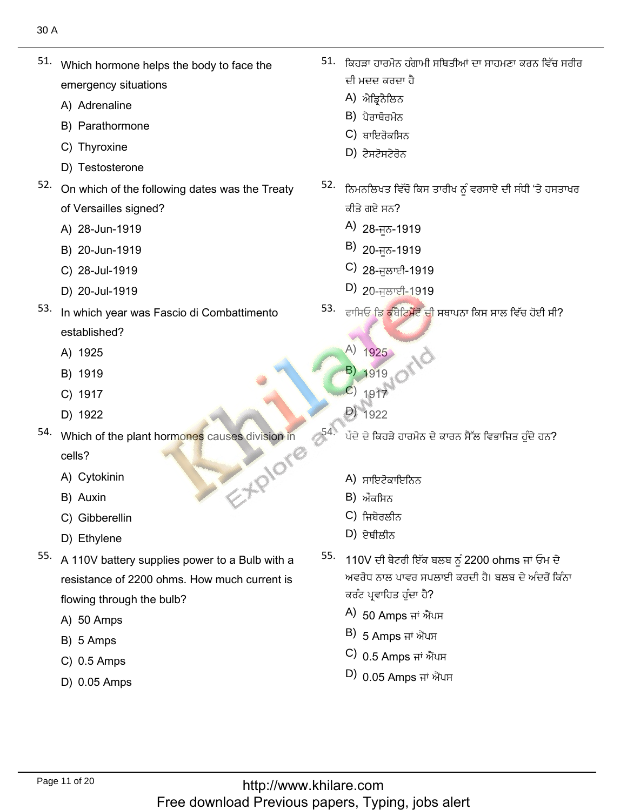- Which hormone helps the body to face the emergency situatior<br>A) Adrenaline
	- A) Adrenaline
	- A) Adrenaline<br>B) Parathormone<br>C) Thvroxine
	- C) Thyroxine
	- D) Testosterone
- D) Testosterone<br>On which of the following dates was the Treaty of Versailles signed?<br>A) 28-Jun-1919
	- A) 28-Jun-1919<br>B) 20-Jun-1919
	- B) 20-Jun-1919<br>C) 28-Jul-1919
	- C) 28-Jul-1919<br>D) 20-Jul-1919
	-
- D) 20-Jul-1919<br>In which year was Fascio di Combattimento established?<br>A) 1925
	- A) 1925<br>B) 1919
	- B) 1919
	- B) 1919<br>C) 1917<br>D) 1922
	-
- D) 1922<br>Which of the plant hormones causes division in
	- cells?
	- cells?<br>A) Cytokinin<br>B) Auxin
	- B) Auxin
	- B) Auxin<br>C) Gibberellin<br>D) Ethvlene
	-
- D) Ethylene<br>A 110V battery supplies power to a Bulb with a resistance of 2200 ohms. How much current is flowing through th<br>A) 50 Amps
	- A) 50 Amps<br>B) 5 Amps
	- B) 5 Amps
	- B) 5 Amps<br>C) 0.5 Amps
	- 0.05 Amps

 $\frac{1}{51. + \frac{1}{27}}$ 51. – ਕਿਹੜਾ ਹਾਰਮੋਨ ਹੰਗਾਮੀ ਸਥਿਤੀਆਂ ਦਾ ਸਾਹਮਣਾ ਕਰਨ ਵਿੱਚ ਸਰੀਰ ਦੀ ਮਦਦ ਕਰਦਾ ਹੈ

َاصِيْرَ بِيْنِ رَبِّيْ إِنَّ يَسْتَخْرُجُ بِيْنَ بِيْنِ رَبِّي الْأَرْضِيَاتِ وَالْكَلِّيْنَ وَالْكَلِّيْنَ و

- A) ਐਡਿਨੈਲਿਨ
- B) ਪੈਰਾਥੋਰਮੋਨ
- C) ਥਾਇਰੋਕਸਿਨ
- (D
- A)<br>B)<br>C)<br>52. <del>A</del> ਨਿਮਨਲਿਖਤ ਵਿੱਚੋਂ ਕਿਸ ਤਾਰੀਖ ਨੂੰ ਵਰਸਾਏ ਦੀ ਸੰਧੀ 'ਤੇ ਹਸਤਾਖਰ ਕੀਤੇ ਗਏ ਸਨ?
	- A) 28-ਜੂਨ-1919
	- B) 20-ਜਨ-1919
	- C) 28-ਜਲਾਈ-1919
	- D) 20-ਜੁਲਾਈ-1919
- A)<br>B)<br>C)<br>D)<br>53. The
- $A) 1925$  $\binom{A}{1925}$ <br>B) 1919 A)<br>
B)<br>
C)<br>
D)<br>
54.
	- 1919<br>1917
	- C)  $1917$ <br>D)  $1922$
	-
	-
	- A) ਸਾਇਟੋਕਾਇ
	- B) ਔਕਸਿਨ
	- C) ਜਿਬੇਰਲੀਨ
	- $D$ ) ਏਥੀਲੀਨ  $\mathcal{D}$ ) ହ୍ୟାਲାਨ $\mathcal{D}$
- A)<br>B)<br>C)<br>D)<br>55. 44 110V ਦੀ ਬੈਟਰੀ ਇੱਕ ਬਲਬ ਨੂੰ 2200 ohms ਜਾਂ ਓਮ ਦੇ ਅਵਰੋਧ ਨਾਲ ਪਾਵਰ ਸਪਲਾਈ ਕਰਦੀ ਹੈ। ਬਲਬ ਦੇ ਅੰਦਰੋਂ ਕਿੰਨਾ <sup>,</sup> ਪ੍ਰਵਾਹਿਤ ਹੁੰਦਾ ਹੈ?
	- A) 50 Amps ਜਾਂ ਐਂਪ
	- B) 5 Amps ਜਾਂ ਐਂਪਸ
	- C) <sub>0.5 Amps ਜਾਂ ਐਂਪਸ</sub>
	- $(D)$  0.05 Amps ਜਾਂ ਐਂਪਸ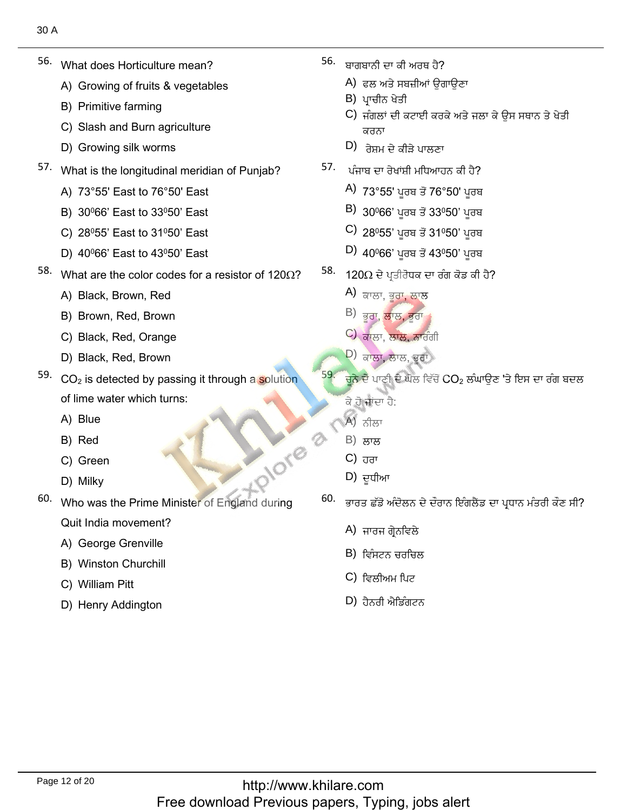- What does Horticulture mean? A)
	- What does Horticulture mean?<br>A) Growing of fruits & vegetables<br>B) Primitive farming
	- B) Primitive farming
	- B) Primitive farming<br>C) Slash and Burn agriculture<br>D) Growing silk worms
	-
- D) Growing silk worms<br>What is the longitudinal meridian of Punjab?<br>A) 73°55' East to 76°50' East
	- A) 73°55' East to 76°50' East<br>B) 30º66' East to 33º50' East
	- B) 30º66' East to 33º50' East<br>C) 28º55' East to 31º50' East
	- C) 28º55' East to 31º50' East<br>D) 40º66' East to 43º50' East
	-
- D) 40º66' East to 43º50' East<br>What are the color codes for a resistor of 120Ω?<br>A) Black. Brown. Red
	- A) Black, Brown, Red<br>B) Brown. Red. Brown
	- B) Brown, Red, Brown<br>C) Black. Red. Orange
	- C) Black, Red, Orange<br>D) Black. Red. Brown
	-
- D) Black, Red, Brown<br>CO<sub>2</sub> is detected by passing it through a <mark>s</mark>olution of lime water<br>A) Blue
	- A) Blue<br>B) Red
	- B) Red
	- B) Red<br>C) Green<br>D) Milkv
	-
- D) Milky<br>Who was the Prime Minister of England during Quit India movement?<br>A) George Grenville
	- A) George Grenville<br>B) Winston Churchill
	- B) Winston Churchi<br>C) William Pitt
	- C) William Pitt
	- D) Henry Addington

56. ْؾتْزتإاٞٔنُٗؿئًم

?ِ٘ـيئٔذْفٔكْنزْن

- A) ਫਲ ਅਤੇ ਸਬ
- **B**) ਪਾਚੀਨ ਖੇਤੀ
- C) ਜੰਗਲਾਂ ਦੀ ਕਰ ਕਰਨਾ A)<br>B)<br>C)<br>D)<br>57. 35
	- D) ਰੇਸ਼ਮ ਦੇ ਕੀੜੇ ਪਾਲਣਾ
- 57. ਪੰਜਾਬ ਦਾ ਰੇਖਾਂਸ਼ੀ ਮਧਿਆਹਨ ਕੀ ਹੈ?
	- A) 73°55' ਪੂਰਬ ਤੋਂ 76°50' ਪੂਰਬ<br>B) 30º66' ਪਰਬ ਤੋਂ 33º50' ਪਰਬ
	- $\vert$ B) 30º66' ਪੁਰਬ ਤੋਂ 33º50' ਪੁਰਬ
	- B) 30º66' ਪੂਰਬ ਤੋਂ 33º50' ਪੂਰਬ<br>C) 28º55' ਪੂਰਬ ਤੋਂ 31º50' ਪੂਰਬ
- C) 28º55' ਪੂਰਬ ਤੋਂ 31º50' ਪੂਰਬ<br>D) 40º66' ਪੂਰਬ ਤੋਂ 43º50' ਪੂਰਬ 4) 73°55' ਪੂਰਬ ਤੋਂ 7<br>B) 30º66' ਪੂਰਬ ਤੋਂ 3<br>C) 28º55' ਪੂਰਬ ਤੋਂ 3<br>D) 40º66' ਪੂਰਬ ਤੋਂ 4<br><sup>58.</sup> 120Ω ਦੇ ਪਤੀਰੋਧਕ ਦਾ
- $120$ Ω ਦੇ ਪ੍ਰਤੀਰੋਧਕ ਚ
	- A) <sub>ਕਾਲਾ, ਭੂਰਾ, ਲਾ</sub>
	- B) ਭਰਾ, <mark>ਲਾਲ, ਭਰਾ</mark>
	- C) ਕਾਲਾ, ਲਾਲ, ਨਾਰੰ
	- D) ਕਾਲਾ, ਲਾਲ, ਭੂਗ
- $\frac{1}{2}$ ي توسى بن تاسى بن ت A) ਕਾਲਾ, ਭੂਰਾ, ਲਾਲ<br>B) ਭੂਰਾ, ਲਾਲ, ਭੂਰਾ<br>C) ਕਾਲਾ, ਲਾਲ, ਭੂਰਾ<br>D) ਕਾਲਾ, ਲਾਲ, ਭੂਰਾ<br>59. ਚਨੇ ਦੇ ਪਾਣੀ ਦੇ ਘੋਲ ਵਿੱਚੋਂ CO<sub>2</sub> ਲੰਘਾੳ ਚੂਨ ਦੇ ਪਾਣੀ ਵ ਕੇ ਹੋ ਜਾਂਦਾ ਹੈ:
	-
	- A) ਨੀਲਾ<br>B) ਲਾਲ B) ਲਾਲ
	- C) ਹਰਾ
	- ابريترين بن المستقلّ في المستقلّ في المستقلّ في المستقلّ في المستقلّ في المستقلّ في المستقلّ في المستقلّ في ال<br>المستقلّ في المستقلّ في المستقلّ في المستقلّ في المستقلّ في المستقلّ في المستقلّ في المستقلّ في المستقلّ في ا
- (A)<br>(B)<br>(B)<br>(D)<br>(60. The Contract of District) ਭਾਰਤ ਛੱਡੋ ਅੰਦੋਲਨ ਦੇ ਦੌਰਾਨ ਇੰਗਲੈਂਡ ਦਾ ਪ੍ਰਧਾਨ ਮੰਤਰੀ ਕੌਣ ਸੀ?
	- A) ਜਾਰਜ ਗ੍ਰੇਨਵਿਲੇ
	- B) ਵਿੰਸਟਨ ਚਰਚਿ
	- C) ਵਿਲੀਅਮ ਪਿਟ
	- $D$ ) ਹੈਨਰੀ ਐਡਿੰਗਟਨ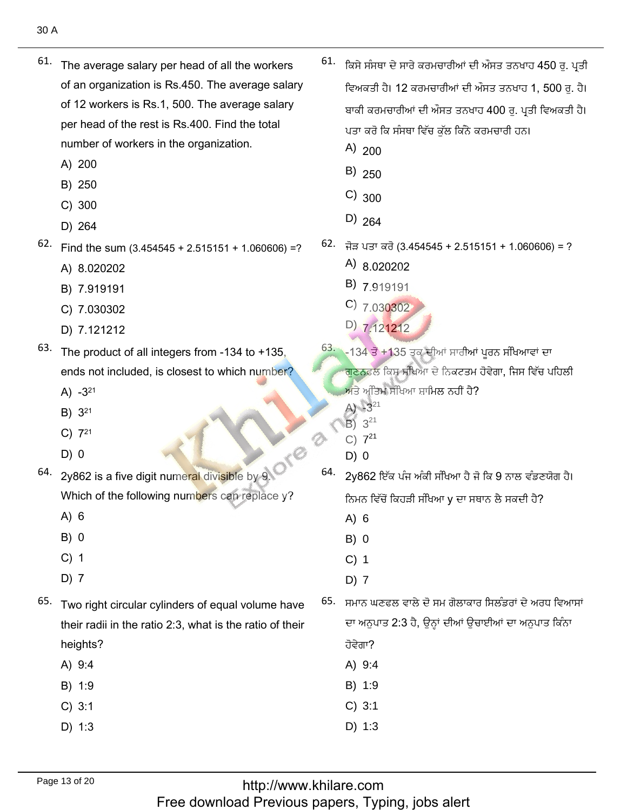- $61.$  The average salary per head of all the workers of an organization is Rs.450. The average salary of 12 workers is Rs.1, 500. The average salary per head of the rest is Rs.400. Find the total number of workers in the organization.
	- A) 200
	- B) 250
	- $C)$  300
	- D) 264
- $62.$  Find the sum (3.454545 + 2.515151 + 1.060606) =?
	- A) 8.020202
	- B) 7.919191
	- C) 7.030302
	- D) 7.121212
- $63.$  The product of all integers from -134 to +135, ends not included, is closest to which number?
	- A)  $-3^{21}$
	- B) 321
	- $C)$  7<sup>21</sup>
	-
- 64. 2y862 is a five digit numeral divisible by 9.
	- $A) 6$
	- $B) 0$
	- $C)$  1
	- $D)$  7
- 65. Two right circular cylinders of equal volume have their radii in the ratio 2:3, what is the ratio of their heights?
	- A) 9:4
	- B) 1:9
	- $C) 3:1$
	- $D)$  1:3
- $61.$  ਕਿਸੇ ਸੰਸਥਾ ਦੇ ਸਾਰੇ ਕਰਮਚਾਰੀਆਂ ਦੀ ਔਸਤ ਤਨਖਾਹ 450 ਰੁ. ਪ੍ਰਤੀ ਵਿਅਕਤੀ ਹੈ। 12 ਕਰਮਚਾਰੀਆਂ ਦੀ ਔਸਤ ਤਨਖਾਹ 1, 500 ਰ. ਹੈ। ਬਾਕੀ ਕਰਮਚਾਰੀਆਂ ਦੀ ਔਸਤ ਤਨਖਾਹ 400 ਰ. ਪਤੀ ਵਿਅਕਤੀ ਹੈ। ਪਤਾ ਕਰੋ ਕਿ ਸੰਸਥਾ ਵਿੱਚ ਕੱਲ ਕਿੰਨੇ ਕਰਮਚਾਰੀ ਹਨ।
	- A)  $200$
	- $B)$  250
	- $C)_{300}$
	- $D)$  264
- $62.$  ਜੋੜ ਪਤਾ ਕਰੋ (3.454545 + 2.515151 + 1.060606) = ?
	- A)  $8.020202$
	- $B)$  7.919191
	- $C)$  7.030302
	- D) 7.121212

63. -134 ਤੋਂ +135 ਤੁਕ ਦੀਆਂ ਸਾਰੀਆਂ ਪੂਰਨ ਸੰਖਿਆਵਾਂ ਦਾ <mark>ਗਣਨਫਲ ਕਿਸ ਸੰਖਿਆ ਦੇ ਨਿਕਟਤਮ ਹੋਵੇਗਾ, ਜਿਸ ਵਿੱਚ ਪਹਿਲੀ</mark> ਅਤੇ ਅੰਤਿਮ ਸੰਖਿਆ ਸ਼ਾਮਿਲ ਨਹੀਂ ਹੈ?

- A)  $-3^{21}$
- $B)$  $3^{21}$  $C) 7^{21}$
- $D) 0$

2

64. 2y862 ਇੱਕ ਪੰਜ ਅੰਕੀ ਸੰਖਿਆ ਹੈ ਜੋ ਕਿ 9 ਨਾਲ ਵੰਡਣਯੋਗ ਹੈ। ਨਿਮਨ ਵਿੱਚੋਂ ਕਿਹੜੀ ਸੰਖਿਆ y ਦਾ ਸਥਾਨ ਲੈ ਸਕਦੀ ਹੈ?

- $A) 6$
- $B) 0$
- $C)$  1
- $D)$  7

65. ਸਮਾਨ ਘਣਫਲ ਵਾਲੇ ਦੋ ਸਮ ਗੋਲਾਕਾਰ ਸਿਲੰਡਰਾਂ ਦੇ ਅਰਧ ਵਿਆਸਾਂ ਦਾ ਅਨੁਪਾਤ 2:3 ਹੈ, ਉਨ੍ਹਾਂ ਦੀਆਂ ਉਚਾਈਆਂ ਦਾ ਅਨੁਪਾਤ ਕਿੰਨਾ

- ਹੋਵੇਗਾ?
- A) 9:4
- B) 1:9
- $C) 3:1$
- $D) 1:3$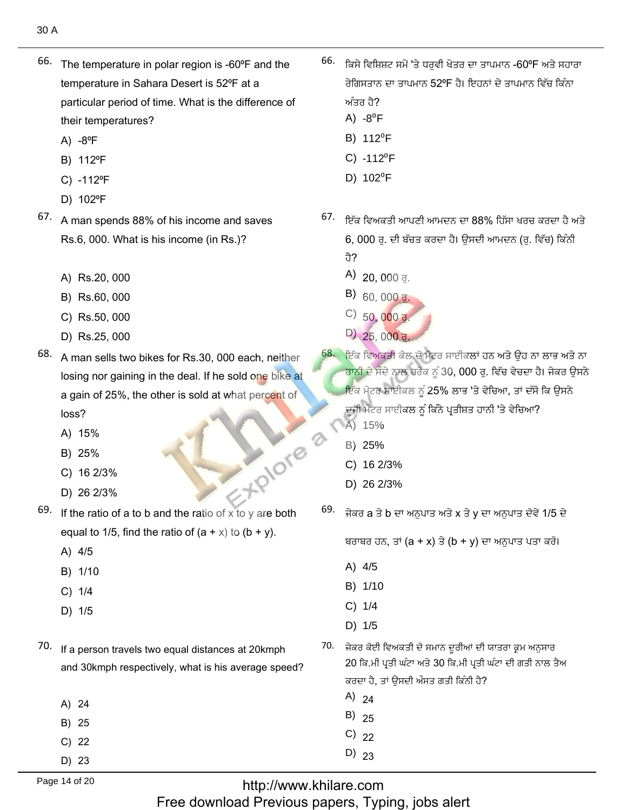- 66. The temperature in polar region is -60°F and the temperature in Sahara Desert is 52°F at a particular period of time. What is the difference of their temperatures?
	- A)  $-8$ <sup>o</sup>F
	- B) 112°F
	- C) -112°F
	- D) 102°F
- 67. A man spends 88% of his income and saves Rs.6, 000. What is his income (in Rs.)?
	- A) Rs.20, 000
	- B) Rs.60, 000
	- C) Rs.50, 000
	- D) Rs.25, 000
- 68. A man sells two bikes for Rs.30, 000 each, neither losing nor gaining in the deal. If he sold one bike at a gain of 25%, the other is sold at what percent of loss?
	- A) 15%
	- B) 25%
	- C) 16 2/3%
	- D) 26 2/3%
- E-X-PIOTO  $69.$  If the ratio of a to b and the ratio of x to y are both equal to 1/5, find the ratio of  $(a + x)$  to  $(b + y)$ .

70. If a person travels two equal distances at 20kmph

- A) 4/5
- B) 1/10
- $C)$  1/4
- D) 1/5
- and 30kmph respectively, what is his average speed? A) 24 B) 25  $C)$  22 D) 23
- <sup>66.</sup> ਕਿਸੇ ਵਿਸ਼ਿਸ਼ਟ ਸਮੇਂ 'ਤੇ ਧਰਵੀ ਖੇਤਰ ਦਾ ਤਾਪਮਾਨ -60ºF ਅਤੇ ਸਹਾਰਾ ਰੇਗਿਸਤਾਨ ਦਾ ਤਾਪਮਾਨ 52ºF ਹੈ। ਇਹਨਾਂ ਦੇ ਤਾਪਮਾਨ ਵਿੱਚ ਕਿੰਨਾ ਅੰਤਰ ਹੈ?
	- A)  $-8^0$ F
	- B) 112<sup>0</sup>F
	- $C) -112^{0}F$
	- D)  $102^{\circ}F$
- <sup>67.</sup> ਇੱਕ ਵਿਅਕਤੀ ਆਪਣੀ ਆਮਦਨ ਦਾ 88% ਹਿੱਸਾ ਖਰਚ ਕਰਦਾ ਹੈ ਅਤੇ 6, 000 ਰ. ਦੀ ਬੱਚਤ ਕਰਦਾ ਹੈ। ਉਸਦੀ ਆਮਦਨ (ਰ. ਵਿੱਚ) ਕਿੰਨੀ ਹੈ?
	-
	- $(A)$  20, 000 ਰੁ.
	- B)  $60,000$  J.
	- C)  $50,000 \frac{1}{9}$ .
	- D)  $25.000 \text{ d.}$
- ਇੱਕ ਵਿਅਕਤੀ ਕੋਲ ਦੋ ਮੋਟਰ ਸਾਈਕਲਾਂ ਹਨ ਅਤੇ ਉਹ ਨਾ ਲਾਭ ਅਤੇ ਨਾ <mark>ਹਾਨੀ ਦੇ ਸੌਦੇ ਨਾਲ ਹਰੈਕ ਨੂੰ 30, 000 ਰੂ. ਵਿੱਚ ਵੇਚਦਾ ਹੈ। ਜੇਕਰ ਉਸਨੇ</mark> ਇੱਕ ਮੋਟਰ ਸਾਈਕਲ ਨੂੰ 25% ਲਾਭ 'ਤੇ ਵੇਚਿਆ, ਤਾਂ ਦੱਸੋ ਕਿ ਉਸਨੇ ਦੂਜੀ ਮੋਟਰ ਸਾਈਕਲ ਨੂੰ ਕਿੰਨੇ ਪ੍ਰਤੀਸ਼ਤ ਹਾਨੀ 'ਤੇ ਵੇਚਿਆ?
	- A) 15%
	- B) 25%
	- C) 16 2/3%
	- D) 26 2/3%
- 69. ਜੇਕਰ a ਤੇ b ਦਾ ਅਨਪਾਤ ਅਤੇ x ਤੇ y ਦਾ ਅਨਪਾਤ ਦੋਵੇਂ 1/5 ਦੇ

ਬਰਾਬਰ ਹਨ, ਤਾਂ (a + x) ਤੇ (b + y) ਦਾ ਅਨਪਾਤ ਪਤਾ ਕਰੋ।

- A) 4/5
- B) 1/10
- $C) 1/4$
- D) 1/5
- 70. ਜੇਕਰ ਕੋਈ ਵਿਅਕਤੀ ਦੋ ਸਮਾਨ ਦੁਰੀਆਂ ਦੀ ਯਾਤਰਾ ਕ੍ਰਮ ਅਨੁਸਾਰ 20 ਕਿ.ਮੀ ਪ੍ਰਤੀ ਘੰਟਾ ਅਤੇ 30 ਕਿ.ਮੀ ਪ੍ਰਤੀ ਘੰਟਾ ਦੀ ਗਤੀ ਨਾਲ ਤੈਅ ਕਰਦਾ ਹੈ, ਤਾਂ ਉਸਦੀ ਔਸਤ ਗਤੀ ਕਿੰਨੀ ਹੈ?
	- A)  $24$
	- B)  $25$
	- $C)$  22
	- $D)$  23

http://www.khilare.com Free download Previous papers, Typing, jobs alert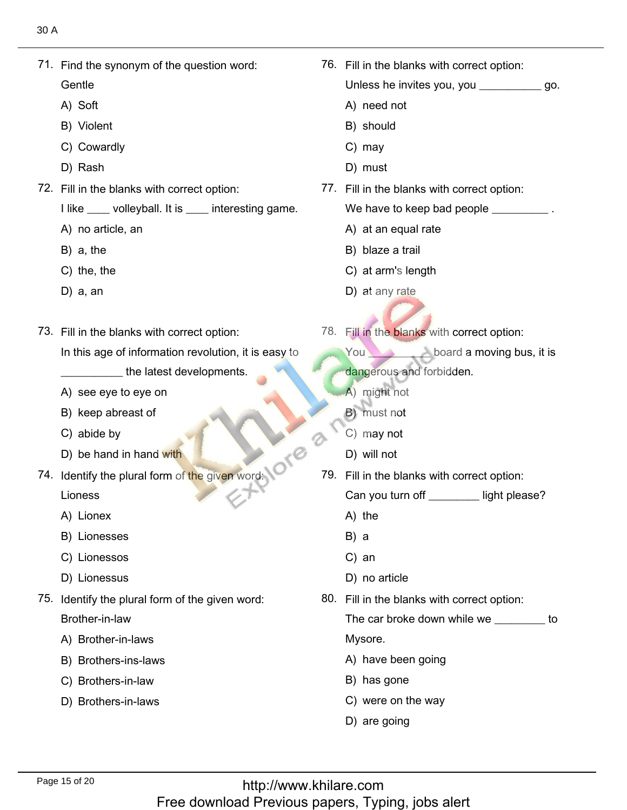71.<u>Find the synonym of the question word:</u><br>Find the synonym of the question word: Gentle Gentle<br>A) Soft A) Soft<br>B) Violent B) Violent<br>C) Cowardly<br>D) Rash 76. Fill in the blanks with correct option: 76. Fill in the blanks with correct option: Unless he invites<br>A) need not A) need no<br>B) should B) shou<br>C) mav  $C)$  may C) may<br>D) must D) Rash<br>Fill in the blanks with correct option: I like \_\_\_\_ volleyball. I<br>A) no article, an A) no arti<br>B) a. the  $B)$  a, the B) a, the<br>C) the, the<br>D) a. an 77. Fill in the blanks with correct option: We have to keep bad pe<br>A) at an equal rate A) at an equal i<br>B) blaze a trail B) blaze a trail B) blaze a trail<br>C) at arm's length<br>D) at anv rate Fill in the blanks with correct option:<br>In the blanks with correct option: In this age of information revolution, it is easy to A)see the latest developments. A) see eye to eye on<br>B) keep abreast of B) keep abre<br>C) abide bv C) abide by C) abide by<br>
D) be hand in hand with<br>
74. Identify the plural form of the given word: 78. Fill in the blanks with correct option: 78. Fill in the blanks with correct option: You board a moving bus, it is <mark>dang</mark>erous and for<br>A) might not A) might not A) might not<br>B) must not<br>C) may not C) may not<br>D) will not Lioness<br>A) Lionex A) Lionex A) Lionex<br>B) Lionesses<br>C) Lionessos C) Lionessos<br>D) Lionessus D) will not 79. Fill in the blanks with correct option: Can you tur<br>A) the A) the<br>B) a  $B) a$ B) a<br>C) an C) an<br>D) no article D) Lionessus<br>Identify the plural form of the given word: Brother-in-law Brother-in-law<br>A) Brother-in-laws A) Brother-in-laws<br>B) Brothers-ins-laws<br>C) Brothers-in-law C) Brothers-in-law<br>D) Brothers-in-laws 80. Fill in the blanks with correct option: The car broke down while we \_\_\_\_\_\_\_\_\_ to Mysore. Mysore.<br>A) have been going<br>B) has gone B) has gone B) has gone<br>C) were on the way<br>D) are going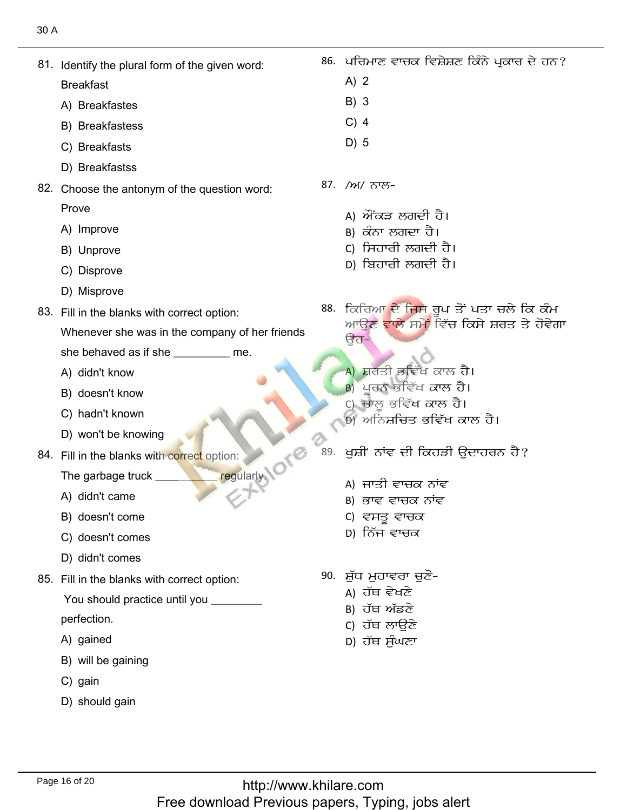Identify the plural form of the given word:<br>Identify the plural form of the given word:

**Breakfast** 

- Breakfast<br>A) Breakfastes<br>B) Breakfastess
- 
- B) Breakfastes<br>C) Breakfasts
- C) Breakfasts<br>D) Breakfastss
- D) Breakfastss<br>Choose the antonym of the question word: Prove Prove<br>A) Improve
	-
	- A) Improve<br>B) Unprove<br>C) Disprove
	- C) Disprove<br>D) Misprove
	-
- D) Misprove<br>Fill in the blanks with correct option:
	- Whenever she was in the company of her friends
	- she behaved as if sl<br>A) didn't know
	- A) didn't know
	- A) didn't know<br>B) doesn't know<br>C) hadn't known
	- C) hadn't known
	- won't be knowing
- D) won't be knowing<br>Fill in the blanks with correct option:
	- The garbage tr<mark>u</mark><br>A) didn't came
	- A) didn't came
	- A) didn't came<br>B) doesn't come<br>C) doesn't comes
	- C) doesn't comes<br>D) didn't comes
	-
- D) didn't comes<br>Fill in the blanks with correct option:
	- You should practice until you \_\_\_\_\_\_\_\_\_
	- perfection.<br>A) gained
	- A) gained
	- A) gained<br>B) will be gaining<br>C) gain
	- $C$ ) gain
	- D) should gain
- ਪਰਿਮਾਣ ਵਾਚਕ ਵਿਸ਼ੇਸ਼ਣ ਕਿੰਨੇ ਪ੍ਰਕਾਰ ਦੇ ਹਨ?<br>A) 2
	- $A)$  2 2<br>3
	- B) 3<br>C) 4
	- C) 4<br>D) 5
	- $D)$  5
- /ਅ/ ਨਾਲ–

89.

- A) ਔਂਕੜ ਲਗਦੀ ਹੈ।
- B) ਕੰਨਾ ਲਗਦਾ ਹੈ।
- c) ਸਿਹਾਰੀ ਲਗਦੀ ਹੈ।
- <u>р) ਬਿਹਾਰੀ ਲਗਦੀ ਹੈ।</u>
- ਕਿਰਿਆ ਦੇ ਜਿਸ ਰਪ ਤੋਂ ਪਤਾ ਚਲੇ ਕਿ ਕੰਮ ਕਿਲਿਆ ਦਾ ਜੰਮ<sub>ਾ</sub>ਭੂਜ ਤੇ ਜੰਤਾ ਲੈਨੇ ਕਿ ਕੰਮ<br>ਆਉਣ <mark>ਵਾਲੇ</mark> ਸਮੇਂ ਵਿੱਚ ਕਿਸੇ ਸ਼ਰਤ ਤੇ ਹੋਵੇਗਾ a<br>ੳਹ−
	- A) ਸ਼ਰਤੀ ਭਵਿੱਖ ਕਾਲ ਹੈ।
	- $B$ ) ਪਰਨ ਭਵਿੱਖ ਕਾਲ ਹੈ।
	- ,<br>c) ਚਾਲ ਭਵਿੱਖ ਕਾਲ ਹੈ।
	- ਅ<br>ਅਨਿਸ਼ਚਿਤ ਭਵਿੱਖ ਕਾਲ ਹੈ।  $\overline{\phantom{a}}$
- ਖਸ਼ੀ' ਨਾਂਵ ਦੀ ਕਿਹੜੀ ੳਦਾਹਰਨ ਹੈ?
	- A) ਜਾਤੀ ਵਾਚਕ ਨਾਂਵ
	- B) ਭਾਵ ਵਾਚਕ ਨਾਂਵ
	- c) ਵਸਤੂ ਵਾਚਕ
	- D) ਨਿੱਜ ਵਾਚਕ
- 90. ਸ਼ੁੱਧ ਮਹਾਵਰਾ ਚੁਣੋ-
	- A) ਹੱਥ ਵੇਖਣੇ
	- в) ਹੱਥ ਅੱਡਣੇ
	- c) ਹੱਥ ਲਾੳਣੇ
	- D) ਹੱਥ ਸੰਘਣਾ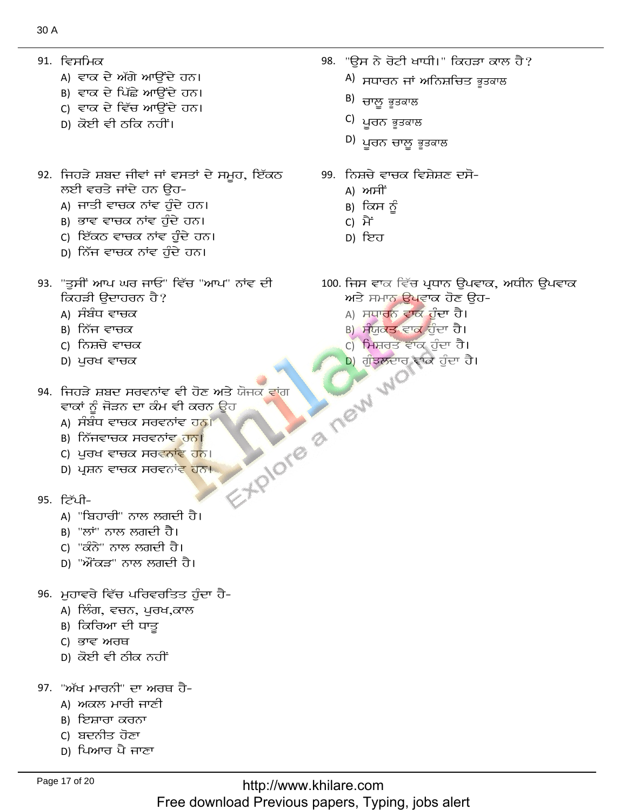- 91. ਵਿਸਮਿਕ
	- A) ਵਾਕ ਦੇ ਅੱਗੇ ਆਉਂਦੇ ਹਨ।
	- в) ਵਾਕ ਦੇ ਪਿੱਛੇ ਆਉਂਦੇ ਹਨ।
	- c) ਵਾਕ ਦੇ ਵਿੱਚ ਆਉਂਦੇ ਹਨ।
	- D) ਕੋਈ ਵੀ ਠਕਿ ਨਹੀਂ।
- 92. ਜਿਹੜੇ ਸ਼ਬਦ ਜੀਵਾਂ ਜਾਂ ਵਸਤਾਂ ਦੇ ਸਮੂਹ, ਇੱਕਠ ਲਈ ਵਰਤੇ ਜਾਂਦੇ ਹਨ ਉਹ-
	- A) ਜਾਤੀ ਵਾਚਕ ਨਾਂਵ ਹੰਦੇ ਹਨ।
	- B) ਭਾਵ ਵਾਚਕ ਨਾਂਵ ਹੰਦੇ ਹਨ।
	- c) ਇੱਕਠ ਵਾਚਕ ਨਾਂਵ ਹੰਦੇ ਹਨ।
	- D) ਨਿੱਜ ਵਾਚਕ ਨਾਂਵ ਹੁੰਦੇ ਹਨ।
- 93. "ਤੁਸੀਂ ਆਪ ਘਰ ਜਾਓ" ਵਿੱਚ "ਆਪ" ਨਾਂਵ ਦੀ ਕਿਹੜੀ ਉਦਾਹਰਨ ਹੈ?
	- A) ਸੰਬੰਧ ਵਾਚਕ
	- в) ਨਿੱਜ ਵਾਚਕ
	- с) ਨਿਸ਼ਚੇ ਵਾਚਕ
	- D) ਪੂਰਖ ਵਾਚਕ
- Explore a new wo 94. ਜਿਹੜੇ ਸ਼ਬਦ ਸਰਵਨਾਂਵ ਵੀ ਹੋਣ ਅਤੇ ਯੋਜਕ ਵਾਂਗ ਵਾਕਾਂ ਨੂੰ ਜੋੜਨ ਦਾ ਕੰਮ ਵੀ ਕਰਨ ਊਹ
	- A) ਸੰਬੰਧ ਵਾਚਕ ਸਰਵਨਾਂਵ ਹਨ।
	- в) ਨਿੱਜਵਾਚਕ ਸਰਵਨਾਂਵ <mark>ਹਨ।</mark>
	- C) ਪੁਰਖ ਵਾਚਕ ਸਰਵਨਾਂਵ ਹਨ।
	- D) ਪ੍ਰਸ਼ਨ ਵਾਚਕ ਸਰਵਨਾਂ<del>ਵ</del> ਹਨ।
- 95. ਟਿੱਪੀ-
	- A) "ਬਿਹਾਰੀ" ਨਾਲ ਲਗਦੀ ਹੈ।
	- в) "ਲਾਂ" ਨਾਲ ਲਗਦੀ ਹੈ।
	- C) "ਕੰਨੇ" ਨਾਲ ਲਗਦੀ ਹੈ।
	- D) "ਔਂਕੜ" ਨਾਲ ਲਗਦੀ ਹੈ।
- 96. ਮੁਹਾਵਰੇ ਵਿੱਚ ਪਰਿਵਰਤਿਤ ਹੁੰਦਾ ਹੈ-
	- А) ਲਿੰਗ, ਵਚਨ, ਪੁਰਖ,ਕਾਲ
	- в) ਕਿਰਿਆ ਦੀ ਧਾਤੁ
	- C) ਭਾਵ ਅਰਥ
	- р) ਕੋਈ ਵੀ ਠੀਕ ਨਹੀਂ
- 97. "ਅੱਖ ਮਾਰਨੀ" ਦਾ ਅਰਥ ਹੈ-
	- A) ਅਕਲ ਮਾਰੀ ਜਾਣੀ
	- в) ਇਸ਼ਾਰਾ ਕਰਨਾ
	- c) ਬਦਨੀਤ ਹੋਣਾ
	- D) ਪਿਆਰ ਪੈ ਜਾਣਾ
- 98. "ਉਸ ਨੇ ਰੋਟੀ ਖਾਧੀ।" ਕਿਹੜਾ ਕਾਲ ਹੈ?
	- <sup>A)</sup> ਸਧਾਰਨ ਜਾਂ ਅਨਿਸ਼ਚਿਤ ਭੁਤਕਾਲ
	- <sup>B)</sup> ਚਾਲ਼ ਭੂਤਕਾਲ
	- <sup>C)</sup> ਪੂਰਨ ਭੂਤਕਾਲ
	- <sup>D)</sup> ਪੁਰਨ ਚਾਲੂ ਭੁਤਕਾਲ
- 99. ਨਿਸ਼ਚੇ ਵਾਚਕ ਵਿਸ਼ੇਸ਼ਣ ਦਸੋ-
	- A) ਅਸੀਂ
	- в) ਕਿਸ ਨੂੰ
	- C) ਮੈਂ
	- D) ਇਹ
- 100. ਜਿਸ ਵਾਕ ਵਿੱਚ ਪ੍ਰਧਾਨ ਉਪਵਾਕ, ਅਧੀਨ ਉਪਵਾਕ ਅਤੇ ਸਮਾਨ ਉਪਵਾਕ ਹੋਣ ਉਹ-
	- A) ਸਧਾਰਨ ਵਾਕ ਹੁੰਦਾ ਹੈ।
	- <u>B) ਸੰਯੁਕਤ ਵਾਕ ਹੁੰਦਾ ਹੈ।</u>
	- c) ਸਿਸ਼ਰਤ ਵਾਕ ਹੁੰਦਾ ਹੈ।
	- <mark>D) ਗੁੰਝਲਦਾਰ ਵਾਕ</mark> ਹੁੰਦਾ ਹੈ।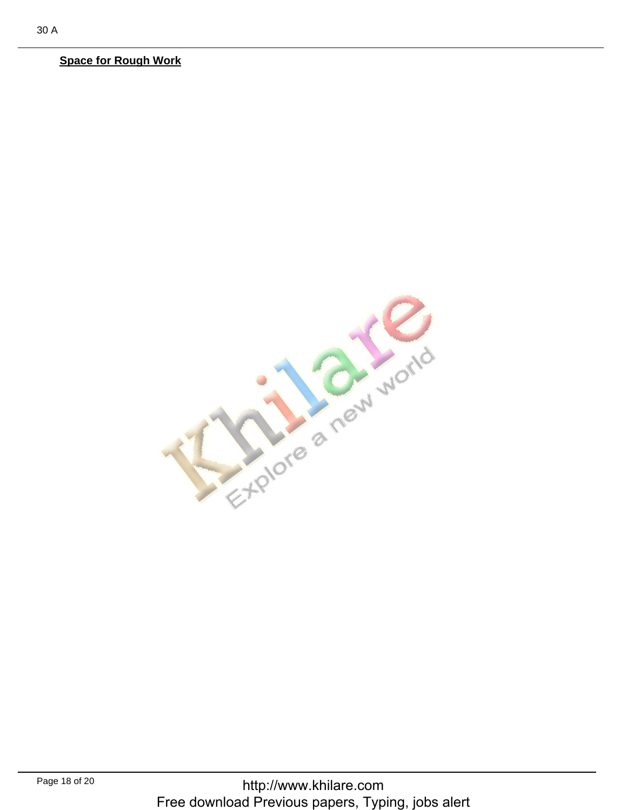## **Space for Rough Work**

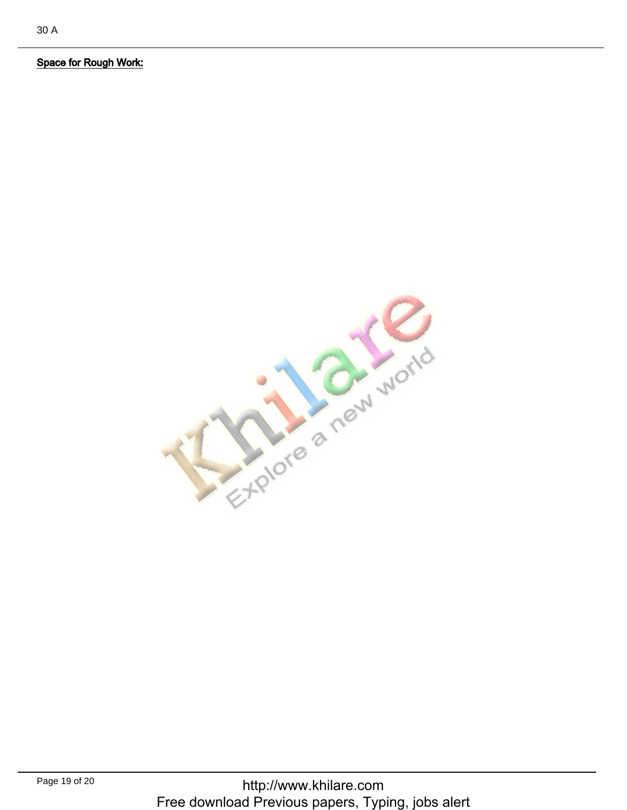Space for Rough Work:Space for Rough Work: